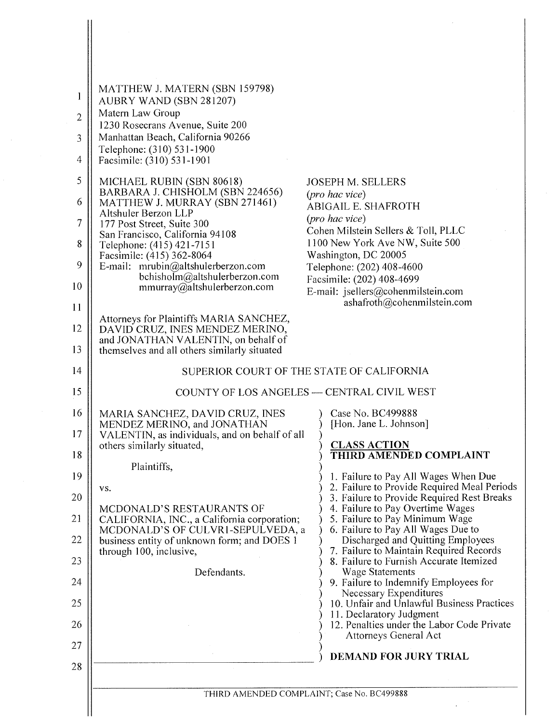| 1<br>$\overline{2}$<br>3<br>4<br>5<br>6<br>$\tau$<br>8<br>9<br>10<br>11 | MATTHEW J. MATERN (SBN 159798)<br>AUBRY WAND (SBN 281207)<br>Matern Law Group<br>1230 Rosecrans Avenue, Suite 200<br>Manhattan Beach, California 90266<br>Telephone: (310) 531-1900<br>Facsimile: (310) 531-1901<br>MICHAEL RUBIN (SBN 80618)<br>BARBARA J. CHISHOLM (SBN 224656)<br>MATTHEW J. MURRAY (SBN 271461)<br>Altshuler Berzon LLP<br>177 Post Street, Suite 300<br>San Francisco, California 94108<br>Telephone: (415) 421-7151<br>Facsimile: (415) 362-8064<br>E-mail: mrubin@altshulerberzon.com<br>bchisholm@altshulerberzon.com<br>mmurray@altshulerberzon.com<br>Attorneys for Plaintiffs MARIA SANCHEZ,<br>DAVID CRUZ, INES MENDEZ MERINO,<br>and JONATHAN VALENTIN, on behalf of | <b>JOSEPH M. SELLERS</b><br>(pro hac vice)<br><b>ABIGAIL E. SHAFROTH</b><br>(pro hac vice)<br>Cohen Milstein Sellers & Toll, PLLC<br>1100 New York Ave NW, Suite 500<br>Washington, DC 20005<br>Telephone: (202) 408-4600<br>Facsimile: (202) 408-4699<br>E-mail: jsellers@cohenmilstein.com<br>ashafroth@cohenmilstein.com |  |
|-------------------------------------------------------------------------|---------------------------------------------------------------------------------------------------------------------------------------------------------------------------------------------------------------------------------------------------------------------------------------------------------------------------------------------------------------------------------------------------------------------------------------------------------------------------------------------------------------------------------------------------------------------------------------------------------------------------------------------------------------------------------------------------|-----------------------------------------------------------------------------------------------------------------------------------------------------------------------------------------------------------------------------------------------------------------------------------------------------------------------------|--|
|                                                                         |                                                                                                                                                                                                                                                                                                                                                                                                                                                                                                                                                                                                                                                                                                   |                                                                                                                                                                                                                                                                                                                             |  |
|                                                                         |                                                                                                                                                                                                                                                                                                                                                                                                                                                                                                                                                                                                                                                                                                   |                                                                                                                                                                                                                                                                                                                             |  |
|                                                                         |                                                                                                                                                                                                                                                                                                                                                                                                                                                                                                                                                                                                                                                                                                   |                                                                                                                                                                                                                                                                                                                             |  |
|                                                                         |                                                                                                                                                                                                                                                                                                                                                                                                                                                                                                                                                                                                                                                                                                   |                                                                                                                                                                                                                                                                                                                             |  |
|                                                                         |                                                                                                                                                                                                                                                                                                                                                                                                                                                                                                                                                                                                                                                                                                   |                                                                                                                                                                                                                                                                                                                             |  |
|                                                                         |                                                                                                                                                                                                                                                                                                                                                                                                                                                                                                                                                                                                                                                                                                   |                                                                                                                                                                                                                                                                                                                             |  |
|                                                                         |                                                                                                                                                                                                                                                                                                                                                                                                                                                                                                                                                                                                                                                                                                   |                                                                                                                                                                                                                                                                                                                             |  |
|                                                                         |                                                                                                                                                                                                                                                                                                                                                                                                                                                                                                                                                                                                                                                                                                   |                                                                                                                                                                                                                                                                                                                             |  |
| 12                                                                      |                                                                                                                                                                                                                                                                                                                                                                                                                                                                                                                                                                                                                                                                                                   |                                                                                                                                                                                                                                                                                                                             |  |
| 13                                                                      | themselves and all others similarly situated                                                                                                                                                                                                                                                                                                                                                                                                                                                                                                                                                                                                                                                      |                                                                                                                                                                                                                                                                                                                             |  |
| 14                                                                      | SUPERIOR COURT OF THE STATE OF CALIFORNIA                                                                                                                                                                                                                                                                                                                                                                                                                                                                                                                                                                                                                                                         |                                                                                                                                                                                                                                                                                                                             |  |
| 15                                                                      |                                                                                                                                                                                                                                                                                                                                                                                                                                                                                                                                                                                                                                                                                                   | COUNTY OF LOS ANGELES — CENTRAL CIVIL WEST                                                                                                                                                                                                                                                                                  |  |
| 16                                                                      | MARIA SANCHEZ, DAVID CRUZ, INES<br>MENDEZ MERINO, and JONATHAN                                                                                                                                                                                                                                                                                                                                                                                                                                                                                                                                                                                                                                    | Case No. BC499888<br>[Hon. Jane L. Johnson]                                                                                                                                                                                                                                                                                 |  |
| 17                                                                      | VALENTIN, as individuals, and on behalf of all<br>others similarly situated,                                                                                                                                                                                                                                                                                                                                                                                                                                                                                                                                                                                                                      | <b>CLASS ACTION</b>                                                                                                                                                                                                                                                                                                         |  |
| 18                                                                      | Plaintiffs,                                                                                                                                                                                                                                                                                                                                                                                                                                                                                                                                                                                                                                                                                       | THIRD AMENDED COMPLAINT                                                                                                                                                                                                                                                                                                     |  |
| 19                                                                      |                                                                                                                                                                                                                                                                                                                                                                                                                                                                                                                                                                                                                                                                                                   | 1. Failure to Pay All Wages When Due                                                                                                                                                                                                                                                                                        |  |
| VS.<br>20                                                               |                                                                                                                                                                                                                                                                                                                                                                                                                                                                                                                                                                                                                                                                                                   | 2. Failure to Provide Required Meal Periods<br>3. Failure to Provide Required Rest Breaks                                                                                                                                                                                                                                   |  |
| 21                                                                      | MCDONALD'S RESTAURANTS OF<br>CALIFORNIA, INC., a California corporation;                                                                                                                                                                                                                                                                                                                                                                                                                                                                                                                                                                                                                          | 4. Failure to Pay Overtime Wages<br>5. Failure to Pay Minimum Wage                                                                                                                                                                                                                                                          |  |
| 22                                                                      | MCDONALD'S OF CULVR1-SEPULVEDA, a<br>business entity of unknown form; and DOES 1                                                                                                                                                                                                                                                                                                                                                                                                                                                                                                                                                                                                                  | 6. Failure to Pay All Wages Due to<br>Discharged and Quitting Employees                                                                                                                                                                                                                                                     |  |
| 23                                                                      | through 100, inclusive,                                                                                                                                                                                                                                                                                                                                                                                                                                                                                                                                                                                                                                                                           | 7. Failure to Maintain Required Records<br>8. Failure to Furnish Accurate Itemized                                                                                                                                                                                                                                          |  |
| 24                                                                      | Defendants.                                                                                                                                                                                                                                                                                                                                                                                                                                                                                                                                                                                                                                                                                       | <b>Wage Statements</b><br>9. Failure to Indemnify Employees for                                                                                                                                                                                                                                                             |  |
| 25                                                                      |                                                                                                                                                                                                                                                                                                                                                                                                                                                                                                                                                                                                                                                                                                   | Necessary Expenditures<br>10. Unfair and Unlawful Business Practices                                                                                                                                                                                                                                                        |  |
| 26                                                                      |                                                                                                                                                                                                                                                                                                                                                                                                                                                                                                                                                                                                                                                                                                   | 11. Declaratory Judgment<br>12. Penalties under the Labor Code Private                                                                                                                                                                                                                                                      |  |
| 27                                                                      |                                                                                                                                                                                                                                                                                                                                                                                                                                                                                                                                                                                                                                                                                                   | Attorneys General Act                                                                                                                                                                                                                                                                                                       |  |
| 28                                                                      |                                                                                                                                                                                                                                                                                                                                                                                                                                                                                                                                                                                                                                                                                                   | <b>DEMAND FOR JURY TRIAL</b>                                                                                                                                                                                                                                                                                                |  |
|                                                                         |                                                                                                                                                                                                                                                                                                                                                                                                                                                                                                                                                                                                                                                                                                   |                                                                                                                                                                                                                                                                                                                             |  |
|                                                                         |                                                                                                                                                                                                                                                                                                                                                                                                                                                                                                                                                                                                                                                                                                   | THIRD AMENDED COMPLAINT; Case No. BC499888                                                                                                                                                                                                                                                                                  |  |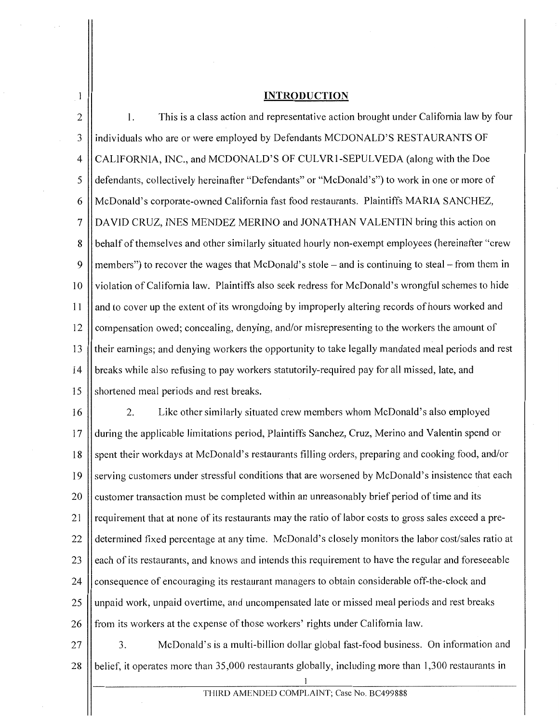### **INTRODUCTION**

 $\mathbf{1}$ 

2 1. This is a class action and representative action brought under California law by four 3 Individuals who are or were employed by Defendants MCDONALD'S RESTAURANTS OF 4 CALIFORNIA, INC., and MCDONALD'S OF CULVR1-SEPULVEDA (along with the Doe 5 | defendants, collectively hereinafter "Defendants" or "McDonald's") to work in one or more of 6 McDonald's corporate-owned California fast food restaurants. Plaintiffs MARIA SANCHEZ, 7 DAVID CRUZ, INES MENDEZ MERINO and JONATHAN VALENTIN bring this action on 8 | behalf of themselves and other similarly situated hourly non-exempt employees (hereinafter "crew" 9 | members") to recover the wages that McDonald's stole – and is continuing to steal – from them in 10 || violation of California law. Plaintiffs also seek redress for McDonald's wrongful schemes to hide 11 | and to cover up the extent of its wrongdoing by improperly altering records of hours worked and 12 | compensation owed; concealing, denying, and/or misrepresenting to the workers the amount of 13 their earnings; and denying workers the opportunity to take legally mandated meal periods and rest 14 breaks while also refusing to pay workers statutorily-required pay for all missed, late, and 15 Shortened meal periods and rest breaks.

16 | 2. Like other similarly situated crew members whom McDonald's also employed 17 during the applicable limitations period, Plaintiffs Sanchez, Cruz, Merino and Valentin spend or 18 Spent their workdays at McDonald's restaurants filling orders, preparing and cooking food, and/or 19 Serving customers under stressful conditions that are worsened by McDonald's insistence that each 20 customer transaction must be completed within an unreasonably brief period of time and its 21 || requirement that at none of its restaurants may the ratio of labor costs to gross sales exceed a pre-22 determined fixed percentage at any time. McDonald's closely monitors the labor cost/sales ratio at 23 | each of its restaurants, and knows and intends this requirement to have the regular and foreseeable 24 consequence of encouraging its restaurant managers to obtain considerable off-the-clock and 25 || unpaid work, unpaid overtime, and uncompensated late or missed meal periods and rest breaks 26 from its workers at the expense of those workers' rights under California law.

27  $\vert$  3. McDonald's is a multi-billion dollar global fast-food business. On information and 28 || belief, it operates more than 35,000 restaurants globally, including more than 1,300 restaurants in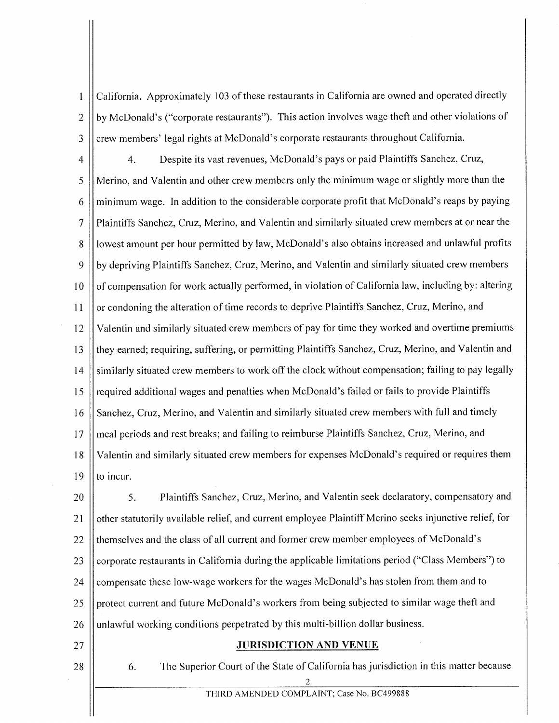California. Approximately 103 of these restaurants in California are owned and operated directly  $\mathbf{1}$ 2 || by McDonald's ("corporate restaurants"). This action involves wage theft and other violations of  $3$  || crew members' legal rights at McDonald's corporate restaurants throughout California.

4 4. Despite its vast revenues, McDonald's pays or paid Plaintiffs Sanchez, Cruz, 5 Merino, and Valentin and other crew members only the minimum wage or slightly more than the  $6 \parallel$  minimum wage. In addition to the considerable corporate profit that McDonald's reaps by paying 7 Plaintiffs Sanchez, Cruz, Merino, and Valentin and similarly situated crew members at or near the 8 Il lowest amount per hour permitted by law, McDonald's also obtains increased and unlawful profits 9 || by depriving Plaintiffs Sanchez, Cruz, Merino, and Valentin and similarly situated crew members 10 || of compensation for work actually performed, in violation of California law, including by: altering 11 or condoning the alteration of time records to deprive Plaintiffs Sanchez, Cruz, Merino, and 12 Valentin and similarly situated crew members of pay for time they worked and overtime premiums 13 || they earned; requiring, suffering, or permitting Plaintiffs Sanchez, Cruz, Merino, and Valentin and 14 | similarly situated crew members to work off the clock without compensation; failing to pay legally 15 || required additional wages and penalties when McDonald's failed or fails to provide Plaintiffs 16 | Sanchez, Cruz, Merino, and Valentin and similarly situated crew members with full and timely 17 || meal periods and rest breaks; and failing to reimburse Plaintiffs Sanchez, Cruz, Merino, and 18 Valentin and similarly situated crew members for expenses McDonald's required or requires them 19  $\parallel$  to incur.

20 | 5. Plaintiffs Sanchez, Cruz, Merino, and Valentin seek declaratory, compensatory and 21  $\parallel$  other statutorily available relief, and current employee Plaintiff Merino seeks injunctive relief, for  $22$  If themselves and the class of all current and former crew member employees of McDonald's 23 | corporate restaurants in California during the applicable limitations period ("Class Members") to 24 | compensate these low-wage workers for the wages McDonald's has stolen from them and to 25 || protect current and future McDonald's workers from being subjected to similar wage theft and  $26$  || unlawful working conditions perpetrated by this multi-billion dollar business.

#### 27 **JURISDICTION AND VENUE**

28 **6.** The Superior Court of the State of California has jurisdiction in this matter because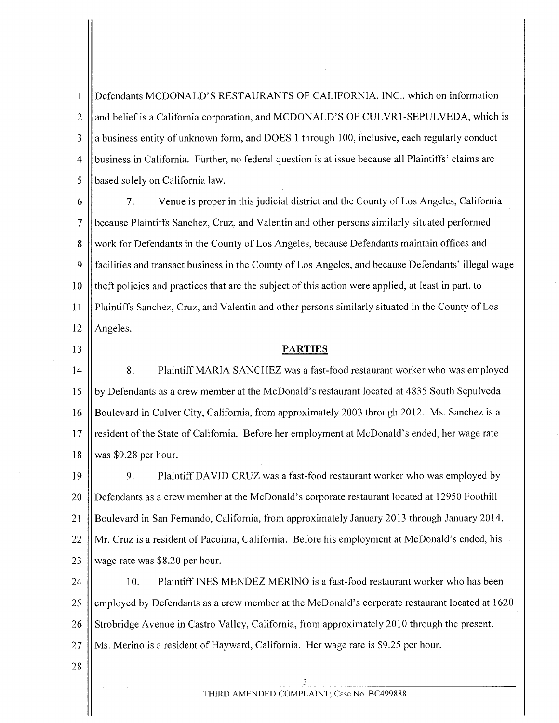$\mathbf{1}$ Defendants MCDONALD'S RESTAURANTS OF CALIFORNIA, INC., which on information 2  $\parallel$  and belief is a California corporation, and MCDONALD'S OF CULVR1-SEPULVEDA, which is 3 || a business entity of unknown form, and DOES 1 through 100, inclusive, each regularly conduct 4 business in California. Further, no federal question is at issue because all Plaintiffs' claims are 5 | based solely on California law.

6 7. Venue is proper in this judicial district and the County of Los Angeles, California 7 because Plaintiffs Sanchez, Cruz, and Valentin and other persons similarly situated performed 8 Work for Defendants in the County of Los Angeles, because Defendants maintain offices and 9 facilities and transact business in the County of Los Angeles, and because Defendants' illegal wage 10 || theft policies and practices that are the subject of this action were applied, at least in part, to II Plaintiffs Sanchez, Cruz, and Valentin and other persons similarly situated in the County of Los  $12$  | Angeles.

## 13 **PARTIES**

14 | 8. Plaintiff MARIA SANCHEZ was a fast-food restaurant worker who was employed 15 by Defendants as a crew member at the McDonald's restaurant located at 4835 South Sepulveda 16 Boulevard in Culver City, California, from approximately 2003 through 2012. Ms. Sanchez is a 17 || resident of the State of California. Before her employment at McDonald's ended, her wage rate I8 was \$9.28 per hour.

19 || 9. Plaintiff DAVID CRUZ was a fast-food restaurant worker who was employed by 20 Defendants as a crew member at the McDonald's corporate restaurant located at 12950 Foothill 21 Boulevard in San Fernando, California, from approximately January 20I3 through January 2014. 22 Mr. Cruz is a resident of Pacoima, California. Before his employment at McDonald's ended, his 23  $\vert\vert$  wage rate was \$8.20 per hour.

24 | 10. Plaintiff INES MENDEZ MERINO is a fast-food restaurant worker who has been 25 | employed by Defendants as a crew member at the McDonald's corporate restaurant located at 1620 26 Strobridge Avenue in Castro Valley, California, from approximately 2010 through the present.  $27$  || Ms. Merino is a resident of Hayward, California. Her wage rate is \$9.25 per hour.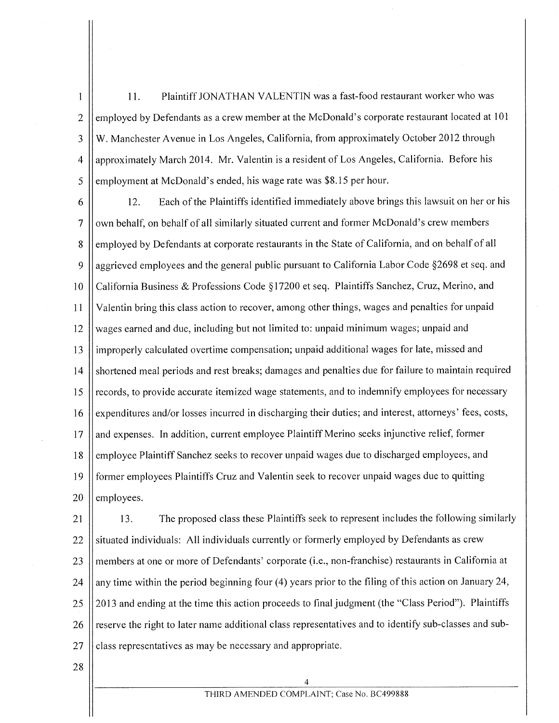11. Plaintiff JONATHAN VALENTIN was a fast-food restaurant worker who was  $\mathbf{1}$ 2 employed by Defendants as a crew member at the McDonald's corporate restaurant located at 101 3 W. Manchester Avenue in Los Angeles, California, from approximately October 2012 through 4 ||approximately March 2014. Mr. Valentin is a resident of Los Angeles, California. Before his  $\frac{1}{5}$  | employment at McDonald's ended, his wage rate was \$8.15 per hour.

6 12. Each of the Plaintiffs identified immediately above brings this lawsuit on her or his  $7 \parallel$  own behalf, on behalf of all similarly situated current and former McDonald's crew members 8 employed by Defendants at corporate restaurants in the State of California, and on behalf of all 9 aggrieved employees and the general public pursuant to California Labor Code §2698 et seq. and 10 California Business & Professions Code §17200 et seq. Plaintiffs Sanchez, Cruz, Merino, and II Valentin bring this class action to recover, among other things, wages and penalties for unpaid  $12$  wages earned and due, including but not limited to: unpaid minimum wages; unpaid and 13 improperly calculated overtime compensation; unpaid additional wages for late, missed and 14 | shortened meal periods and rest breaks; damages and penalties due for failure to maintain required 15 | records, to provide accurate itemized wage statements, and to indemnify employees for necessary 16 expenditures and/or losses incurred in discharging their duties; and interest, attorneys' fees, costs,  $17$  and expenses. In addition, current employee Plaintiff Merino seeks injunctive relief, former 18 employee Plaintiff Sanchez seeks to recover unpaid wages due to discharged employees, and 19 former employees Plaintiffs Cruz and Valentin seek to recover unpaid wages due to quitting  $20$  | employees.

21 13. The proposed class these Plaintiffs seek to represent includes the following similarly 22 | situated individuals: All individuals currently or formerly employed by Defendants as crew 23 || members at one or more of Defendants' corporate (i.e., non-franchise) restaurants in California at 24 any time within the period beginning four (4) years prior to the filing of this action on January 24,  $25 \parallel$  2013 and ending at the time this action proceeds to final judgment (the "Class Period"). Plaintiffs 26 reserve the right to later name additional class representatives and to identify sub-classes and sub- $27$  | class representatives as may be necessary and appropriate.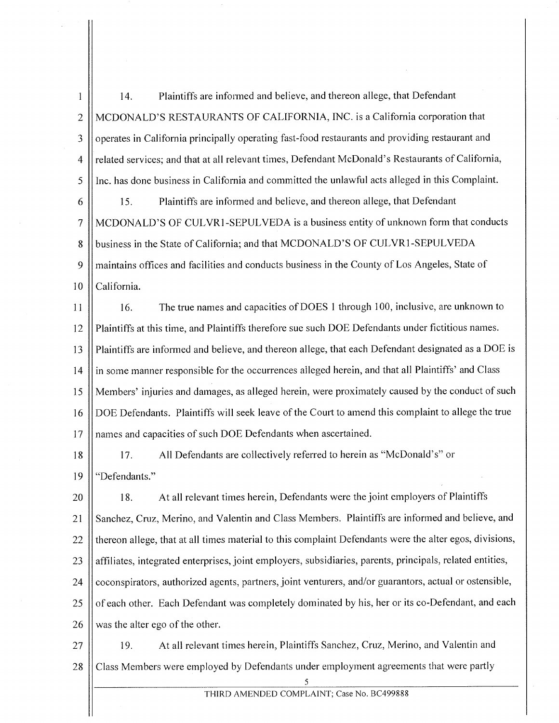14. Plaintiffs are informed and believe, and thereon allege, that Defendant  $\mathbf{1}$ 2 MCDONALD'S RESTAURANTS OF CALIFORNIA, INC. is a California corporation that 3 | operates in California principally operating fast-food restaurants and providing restaurant and 4 | related services; and that at all relevant times, Defendant McDonald's Restaurants of California, 5 | Inc. has done business in California and committed the unlawful acts alleged in this Complaint.

6 | 15. Plaintiffs are informed and believe, and thereon allege, that Defendant 7 MCDONALD'S OF CULVR1-SEPULVEDA is a business entity ofunknown form that conducts 8 **business in the State of California; and that MCDONALD'S OF CULVR1-SEPULVEDA** 9 || maintains offices and facilities and conducts business in the County of Los Angeles, State of 10 || California.

11 16. The true names and capacities of DOES 1 through 100, inclusive, are unknown to 12 Plaintiffs at this time, and Plaintiffs therefore sue such DOE Defendants under fictitious names. 13 Plaintiffs are informed and believe, and thereon allege, that each Defendant designated as a DOE is 14 in some manner responsible for the occurrences alleged herein, and that all Plaintiffs' and Class 15 Members' injuries and damages, as alleged herein, were proximately caused by the conduct of such 16 DOE Defendants. Plaintiffs will seek leave of the Court to amend this complaint to allege the true 17 || names and capacities of such DOE Defendants when ascertained.

18 | 17. All Defendants are collectively referred to herein as "McDonald's" or 19 || "Defendants."

20 | 18. At all relevant times herein, Defendants were the joint employers of Plaintiffs 21 | Sanchez, Cruz, Merino, and Valentin and Class Members. Plaintiffs are informed and believe, and  $22$  H thereon allege, that at all times material to this complaint Defendants were the alter egos, divisions, 23 || affiliates, integrated enterprises, joint employers, subsidiaries, parents, principals, related entities, 24 | coconspirators, authorized agents, partners, joint venturers, and/or guarantors, actual or ostensible, 25 | of each other. Each Defendant was completely dominated by his, her or its co-Defendant, and each 26  $\parallel$  was the alter ego of the other.

27 | 19. At all relevant times herein, Plaintiffs Sanchez, Cruz, Merino, and Valentin and 28 Class Members were employed by Defendants under employment agreements that were partly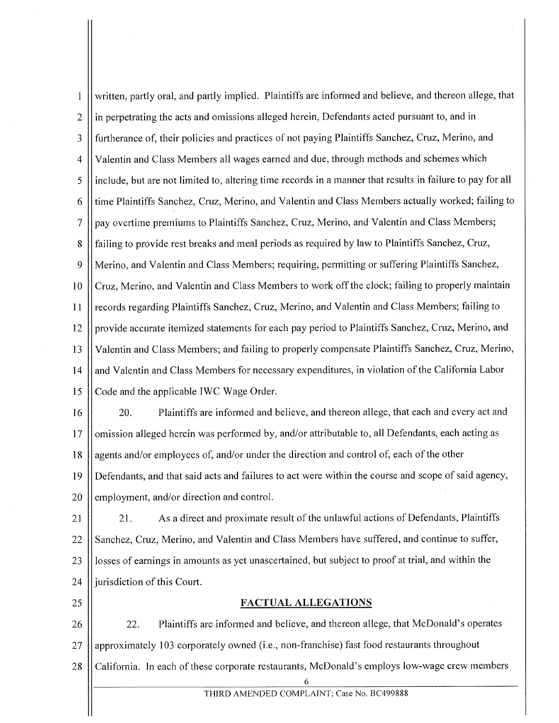written, partly oral, and partly implied. Plaintiffs are informed and believe, and thereon allege, that  $\mathbf{1}$ 2 l in perpetrating the acts and omissions alleged herein, Defendants acted pursuant to, and in 3 || furtherance of, their policies and practices of not paying Plaintiffs Sanchez, Cruz, Merino, and 4 Valentin and Class Members all wages earned and due, through methods and schemes which 5 include, but are not limited to, altering time records in a manner that results in failure to pay for all 6 | time Plaintiffs Sanchez, Cruz, Merino, and Valentin and Class Members actually worked; failing to 7 pay overtime premiums to Plaintiffs Sanchez, Cruz, Merino, and Valentin and Class Members; 8 | failing to provide rest breaks and meal periods as required by law to Plaintiffs Sanchez, Cruz, 9 Merino, and Valentin and Class Members; requiring, permitting or suffering Plaintiffs Sanchez, 10 | Cruz, Merino, and Valentin and Class Members to work off the clock; failing to properly maintain 11 | records regarding Plaintiffs Sanchez, Cruz, Merino, and Valentin and Class Members; failing to  $12$  provide accurate itemized statements for each pay period to Plaintiffs Sanchez, Cruz, Merino, and 13 Valentin and Class Members; and failing to properly compensate Plaintiffs Sanchez, Cruz, Merino, 14 and Valentin and Class Members for necessary expenditures, in violation of the California Labor 15 Code and the applicable IWC Wage Order.

16 || 20. Plaintiffs are informed and believe, and thereon allege, that each and every act and 17 | omission alleged herein was performed by, and/or attributable to, all Defendants, each acting as 18 agents and/or employees of, and/or under the direction and control of, each of the other 19 Defendants, and that said acts and failures to act were within the course and scope of said agency,  $20$  || employment, and/or direction and control.

21 21. As a direct and proximate result of the unlawful actions of Defendants, Plaintiffs 22 Sanchez, Cruz, Merino, and Valentin and Class Members have suffered, and continue to suffer, 23 | losses of earnings in amounts as yet unascertained, but subject to proof at trial, and within the 24  $\parallel$  jurisdiction of this Court.

#### 25 **FACTUAL ALLEGATIONS**

26 **22.** Plaintiffs are informed and believe, and thereon allege, that McDonald's operates 27 || approximately 103 corporately owned (i.e., non-franchise) fast food restaurants throughout 28 | California. In each of these corporate restaurants, McDonald's employs low-wage crew members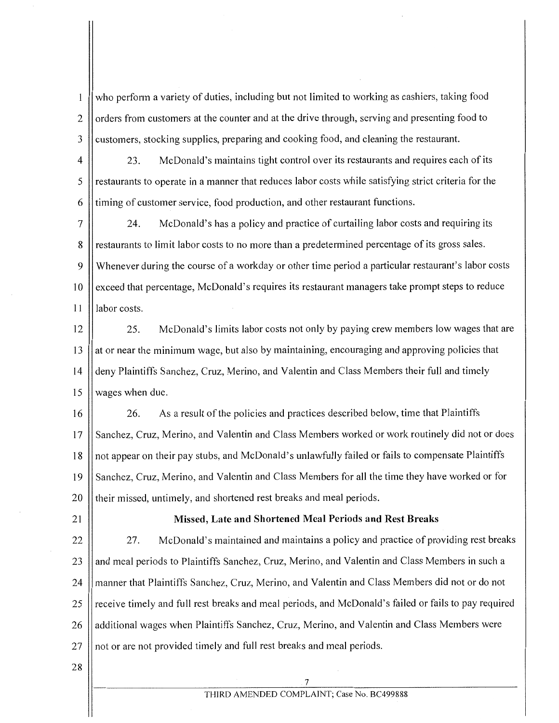who perform a variety of duties, including but not limited to working as cashiers, taking food 1 2  $\parallel$  orders from customers at the counter and at the drive through, serving and presenting food to 3 | customers, stocking supplies, preparing and cooking food, and cleaning the restaurant.

4 23. McDonald's maintains tight control over its restaurants and requires each of its 5 || restaurants to operate in a manner that reduces labor costs while satisfying strict criteria for the 6 timing of customer service, food production, and other restaurant functions.

7 24. McDonald's has a policy and practice of curtailing labor costs and requiring its 8 || restaurants to limit labor costs to no more than a predetermined percentage of its gross sales. 9 Whenever during the course of a workday or other time period a particular restaurant's labor costs 10 | exceed that percentage, McDonald's requires its restaurant managers take prompt steps to reduce 11 Il labor costs.

12 | 25. McDonald's limits labor costs not only by paying crew members low wages that are  $13$  | at or near the minimum wage, but also by maintaining, encouraging and approving policies that 14 | deny Plaintiffs Sanchez, Cruz, Merino, and Valentin and Class Members their full and timely 15 | wages when due.

16 | 26. As a result of the policies and practices described below, time that Plaintiffs 17 || Sanchez, Cruz, Merino, and Valentin and Class Members worked or work routinely did not or does 18 || not appear on their pay stubs, and McDonald's unlawfully failed or fails to compensate Plaintiffs 19 || Sanchez, Cruz, Merino, and Valentin and Class Members for all the time they have worked or for 20 || their missed, untimely, and shortened rest breaks and meal periods.

# 21 **Missed, Late and Shortened Meal Periods and Rest Breaks**

22 27. McDonald's maintained and maintains a policy and practice of providing rest breaks 23 || and meal periods to Plaintiffs Sanchez, Cruz, Merino, and Valentin and Class Members in such a 24 | manner that Plaintiffs Sanchez, Cruz, Merino, and Valentin and Class Members did not or do not 25 || receive timely and full rest breaks and meal periods, and McDonald's failed or fails to pay required 26 additional wages when Plaintiffs Sanchez, Cruz, Merino, and Valentin and Class Members were 27 || not or are not provided timely and full rest breaks and meal periods.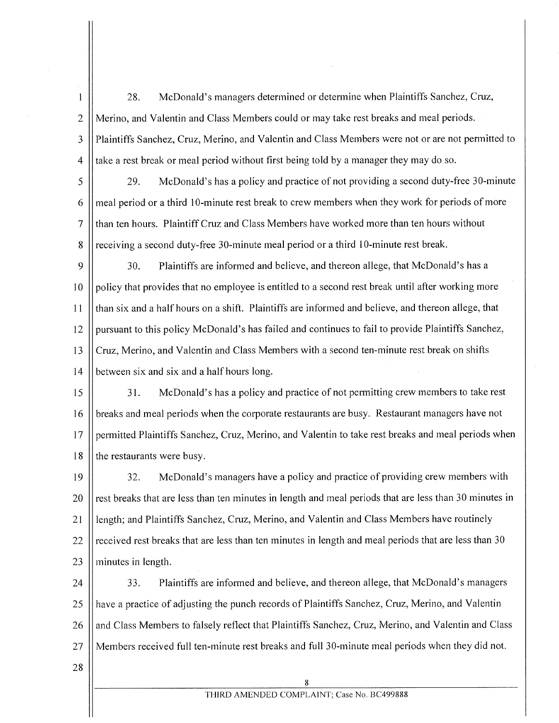28. McDonald's managers determined or determine when Plaintiffs Sanchez, Cruz, 2 Merino, and Valentin and Class Members could or may take rest breaks and meal periods. 3 Plaintiffs Sanchez, Cruz, Merino, and Valentin and Class Members were not or are not permitted to  $4$  | take a rest break or meal period without first being told by a manager they may do so.

5 29. McDonald's has a policy and practice of not providing a second duty-free 30-minute  $6 \parallel$  meal period or a third 10-minute rest break to crew members when they work for periods of more 7 than ten hours. Plaintiff Cruz and Class Members have worked more than ten hours without 8 There iving a second duty-free 30-minute meal period or a third 10-minute rest break.

30. Plaintiffs are informed and believe, and thereon allege, that McDonald's has a | policy that provides that no employee is entitled to a second rest break until after working more than six and a half hours on a shift. Plaintiffs are informed and believe, and thereon allege, that 12 | pursuant to this policy McDonald's has failed and continues to fail to provide Plaintiffs Sanchez, 13 | Cruz, Merino, and Valentin and Class Members with a second ten-minute rest break on shifts  $\parallel$  between six and six and a half hours long.

15  $\vert$  31. McDonald's has a policy and practice of not permitting crew members to take rest 16 Subsets and meal periods when the corporate restaurants are busy. Restaurant managers have not 17 permitted Plaintiffs Sanchez, Cruz, Merino, and Valentin to take rest breaks and meal periods when 18 the restaurants were busy.

32. McDonald's managers have a policy and practice of providing crew members with  $\parallel$  rest breaks that are less than ten minutes in length and meal periods that are less than 30 minutes in 21 | length; and Plaintiffs Sanchez, Cruz, Merino, and Valentin and Class Members have routinely  $\parallel$  received rest breaks that are less than ten minutes in length and meal periods that are less than 30  $\parallel$  minutes in length.

24 | 33. Plaintiffs are informed and believe, and thereon allege, that McDonald's managers 25 And a practice of adjusting the punch records of Plaintiffs Sanchez, Cruz, Merino, and Valentin 26 and Class Members to falsely reflect that Plaintiffs Sanchez, Cruz, Merino, and Valentin and Class 27 Members received full ten-minute rest breaks and full 30-minute meal periods when they did not.

28

 $\mathbf{1}$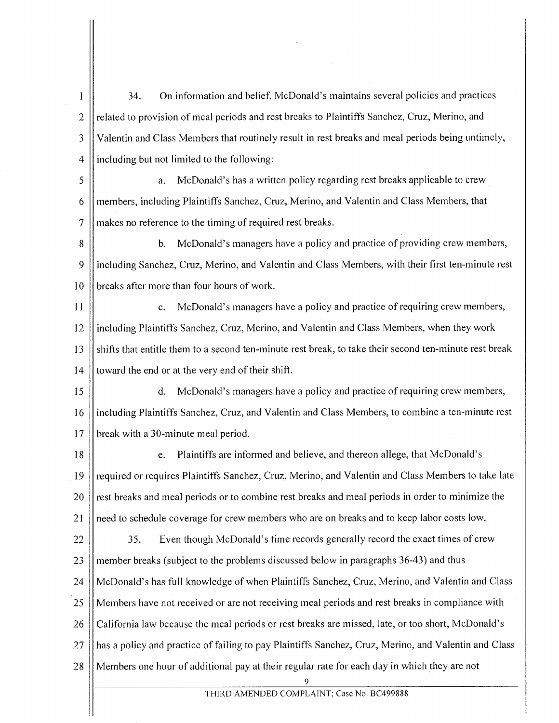$\mathbf{1}$ 34. On information and belief, McDonald's maintains several policies and practices 2 || related to provision of meal periods and rest breaks to Plaintiffs Sanchez, Cruz, Merino, and 3 || Valentin and Class Members that routinely result in rest breaks and meal periods being untimely, 4 including but not limited to the following:

5 | a. McDonald's has a written policy regarding rest breaks applicable to crew 6 members, including Plaintiffs Sanchez, Cruz, Merino, and Valentin and Class Members, that 7 | makes no reference to the timing of required rest breaks.

8 b. McDonald's managers have a policy and practice of providing crew members, 9 including Sanchez, Cruz, Merino, and Valentin and Class Members, with their first ten-minute rest  $10$  | breaks after more than four hours of work.

11 | c. McDonald's managers have a policy and practice of requiring crew members, 12 | including Plaintiffs Sanchez, Cruz, Merino, and Valentin and Class Members, when they work 13 Shifts that entitle them to a second ten-minute rest break, to take their second ten-minute rest break 14  $\parallel$  toward the end or at the very end of their shift.

15 d. McDonald's managers have a policy and practice of requiring crew members, 16 including Plaintiffs Sanchez, Cruz, and Valentin and Class Members, to combine a ten-minute rest 17 **break** with a 30-minute meal period.

18 | e. Plaintiffs are informed and believe, and thereon allege, that McDonald's 19 || required or requires Plaintiffs Sanchez, Cruz, Merino, and Valentin and Class Members to take late 20 | rest breaks and meal periods or to combine rest breaks and meal periods in order to minimize the 21  $\Box$  need to schedule coverage for crew members who are on breaks and to keep labor costs low.

22  $\parallel$  35. Even though McDonald's time records generally record the exact times of crew 23 || member breaks (subject to the problems discussed below in paragraphs  $36-43$ ) and thus 24 McDonald's has full knowledge ofwhen Plaintiffs Sanchez, Cruz, Merino, and Valentin and Class 25 Members have not received or are not receiving meal periods and rest breaks in compliance with 26 California law because the meal periods or rest breaks are missed, late, or too short, McDonald's 27 || has a policy and practice of failing to pay Plaintiffs Sanchez, Cruz, Merino, and Valentin and Class 28 Members one hour of additional pay at their regular rate for each day in which they are not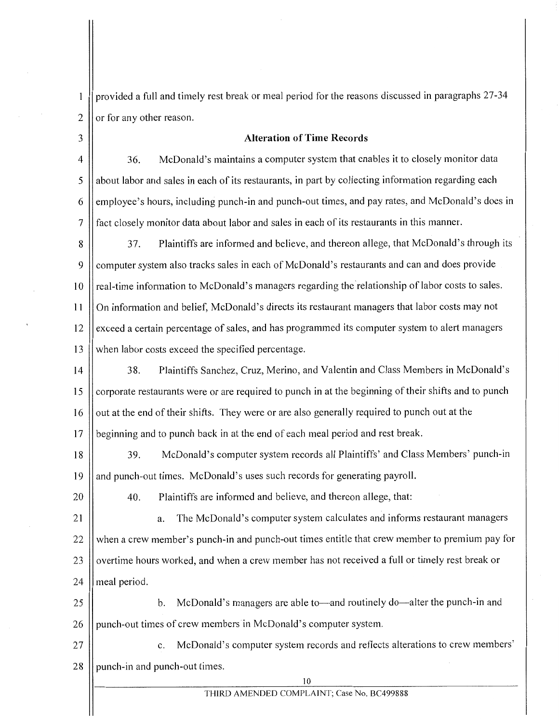provided a full and timely rest break or meal period for the reasons discussed in paragraphs 27-34  $\mathbf{1}$ 2  $\vert$  or for any other reason.

# 3 **Alteration of Time Records**

4 | 36. McDonald's maintains a computer system that enables it to closely monitor data 5 || about labor and sales in each of its restaurants, in part by collecting information regarding each 6 | employee's hours, including punch-in and punch-out times, and pay rates, and McDonald's does in 7 || fact closely monitor data about labor and sales in each of its restaurants in this manner.

8 | 37. Plaintiffs are informed and believe, and thereon allege, that McDonald's through its 9 computer system also tracks sales in each of McDonald's restaurants and can and does provide 10 || real-time information to McDonald's managers regarding the relationship of labor costs to sales. 11 On information and belief, McDonald's directs its restaurant managers that labor costs may not 12 | exceed a certain percentage of sales, and has programmed its computer system to alert managers 13 When labor costs exceed the specified percentage.

14 | 38. Plaintiffs Sanchez, Cruz, Merino, and Valentin and Class Members in McDonald's 15 | corporate restaurants were or are required to punch in at the beginning of their shifts and to punch 16 | out at the end of their shifts. They were or are also generally required to punch out at the 17 | beginning and to punch back in at the end of each meal period and rest break.

18 | 39. McDonald's computer system records all Plaintiffs' and Class Members' punch-in 19 and punch-out times. McDonald's uses such records for generating payroll.

20

40. Plaintiffs are informed and believe, and thereon allege, that:

21 a. The McDonald's computer system calculates and informs restaurant managers 22 When a crew member's punch-in and punch-out times entitle that crew member to premium pay for 23 | overtime hours worked, and when a crew member has not received a full or timely rest break or 24  $\parallel$  meal period.

25 || b. McDonald's managers are able to—and routinely do—alter the punch-in and 26 || punch-out times of crew members in McDonald's computer system.

27 | c. McDonald's computer system records and reflects alterations to crew members'  $28$  | punch-in and punch-out times.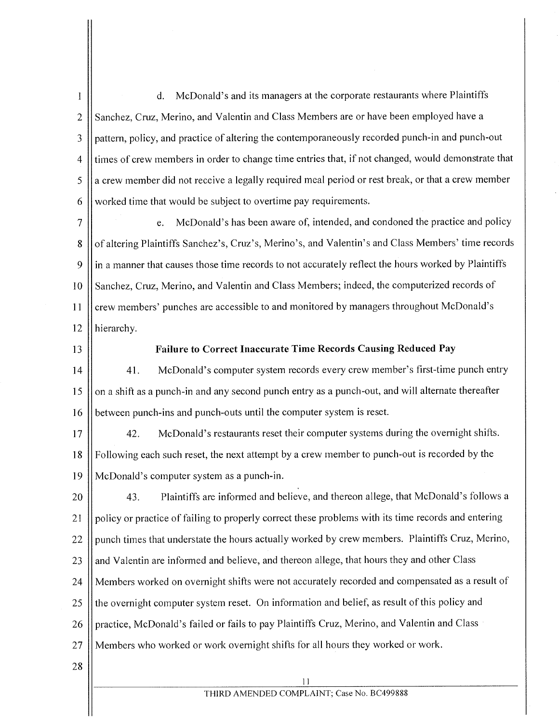$\mathbf{1}$ d. McDonald's and its managers at the corporate restaurants where Plaintiffs 2 Sanchez, Cruz, Merino, and Valentin and Class Members are or have been employed have a 3 pattern, policy, and practice of altering the contemporaneously recorded punch-in and punch-out 4 times of crew members in order to change time entries that, if not changed, would demonstrate that  $5 \parallel a$  crew member did not receive a legally required meal period or rest break, or that a crew member 6 || worked time that would be subject to overtime pay requirements.

7 e. McDonald's has been aware of, intended, and condoned the practice and policy 8 | of altering Plaintiffs Sanchez's, Cruz's, Merino's, and Valentin's and Class Members' time records 9 || in a manner that causes those time records to not accurately reflect the hours worked by Plaintiffs 10 | Sanchez, Cruz, Merino, and Valentin and Class Members; indeed, the computerized records of 11 | crew members' punches are accessible to and monitored by managers throughout McDonald's 12 | hierarchy.

#### 13 **Failure to Correct Inaccurate Time Records Causing Reduced Pay**

14  $\vert$  41. McDonald's computer system records every crew member's first-time punch entry 15 || on a shift as a punch-in and any second punch entry as a punch-out, and will alternate thereafter 16 **b**etween punch-ins and punch-outs until the computer system is reset.

17 | 42. McDonald's restaurants reset their computer systems during the overnight shifts. 18 | Following each such reset, the next attempt by a crew member to punch-out is recorded by the 19 McDonald's computer system as a punch-in.

20  $\parallel$  43. Plaintiffs are informed and believe, and thereon allege, that McDonald's follows a 21 | policy or practice of failing to properly correct these problems with its time records and entering 22 | punch times that understate the hours actually worked by crew members. Plaintiffs Cruz, Merino, 23 || and Valentin are informed and believe, and thereon allege, that hours they and other Class 24 Members worked on overnight shifts were not accurately recorded and compensated as a result of 25  $\parallel$  the overnight computer system reset. On information and belief, as result of this policy and 26 | practice, McDonald's failed or fails to pay Plaintiffs Cruz, Merino, and Valentin and Class 27 Members who worked or work overnight shifts for all hours they worked or work.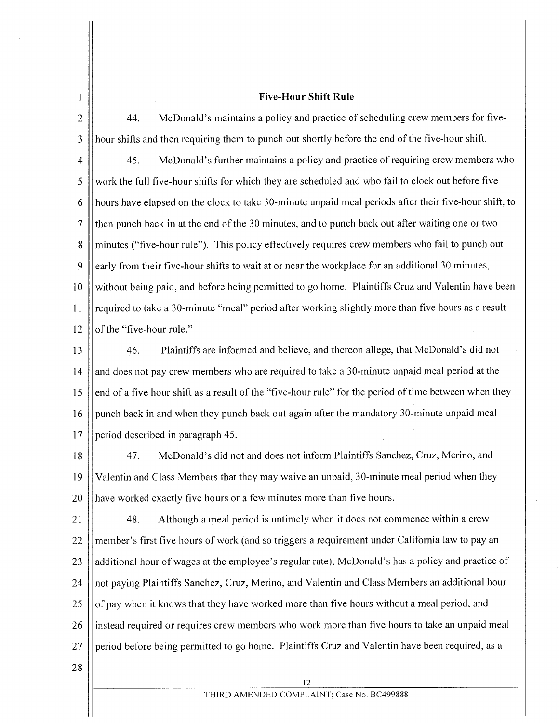## **Five-Hour Shift Rule**

 $\mathbf{1}$ 

2  $\parallel$  44. McDonald's maintains a policy and practice of scheduling crew members for five- $3$  || hour shifts and then requiring them to punch out shortly before the end of the five-hour shift.

4  $\vert$  45. McDonald's further maintains a policy and practice of requiring crew members who  $5 \parallel$  work the full five-hour shifts for which they are scheduled and who fail to clock out before five 6 hours have elapsed on the clock to take 30-minute unpaid meal periods after their five-hour shift, to 7 then punch back in at the end of the 30 minutes, and to punch back out after waiting one or two 8 minutes ("five-hour rule"). This policy effectively requires crew members who fail to punch out 9  $\parallel$  early from their five-hour shifts to wait at or near the workplace for an additional 30 minutes, 10 Without being paid, and before being permitted to go home. Plaintiffs Cruz and Valentin have been 11 | required to take a 30-minute "meal" period after working slightly more than five hours as a result  $12$  || of the "five-hour rule."

I3 46. Plaintiffs are informed and believe, and thereon allege, that McDonald's did not  $14$  and does not pay crew members who are required to take a 30-minute unpaid meal period at the  $15$  | end of a five hour shift as a result of the "five-hour rule" for the period of time between when they 16 | punch back in and when they punch back out again after the mandatory 30-minute unpaid meal 17 | period described in paragraph 45.

I8 47. McDonald's did not and does not inform Plaintiffs Sanchez, Cruz, Merino, and I9 Valentin and Class Members that they may waive an unpaid, 30-minute meal period when they 20 || have worked exactly five hours or a few minutes more than five hours.

2I 48. Although a meal period is untimely when it does not commence within a crew 22 || member's first five hours of work (and so triggers a requirement under California law to pay an 23 additional hour of wages at the employee's regular rate), McDonald's has a policy and practice of 24 || not paying Plaintiffs Sanchez, Cruz, Merino, and Valentin and Class Members an additional hour 25  $\parallel$  of pay when it knows that they have worked more than five hours without a meal period, and 26 instead required or requires crew members who work more than five hours to take an unpaid meal  $27$  period before being permitted to go home. Plaintiffs Cruz and Valentin have been required, as a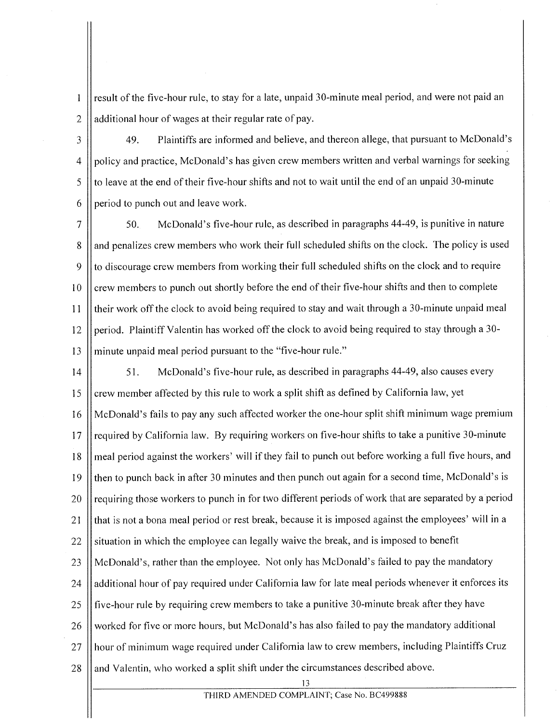result of the five-hour rule, to stay for a late, unpaid 30-minute meal period, and were not paid an 2 | additional hour of wages at their regular rate of pay.

 $\mathbf{1}$ 

3 49. Plaintiffs are informed and believe, and thereon allege, that pursuant to McDonald's 4 | policy and practice, McDonald's has given crew members written and verbal warnings for seeking  $5 \parallel$  to leave at the end of their five-hour shifts and not to wait until the end of an unpaid 30-minute 6  $\parallel$  period to punch out and leave work.

7 50. McDonald's five-hour rule, as described in paragraphs 44-49, is punitive in nature 8 and penalizes crew members who work their full scheduled shifts on the clock. The policy is used  $9 \parallel$  to discourage crew members from working their full scheduled shifts on the clock and to require 10 crew members to punch out shortly before the end of their five-hour shifts and then to complete II their work off the clock to avoid being required to stay and wait through a 30-minute unpaid meal 12 period. Plaintiff Valentin has worked off the clock to avoid being required to stay through a  $30$ -13 || minute unpaid meal period pursuant to the "five-hour rule."

14 | 51. McDonald's five-hour rule, as described in paragraphs 44-49, also causes every 15  $\parallel$  crew member affected by this rule to work a split shift as defined by California law, yet I6 McDonald's fails to pay any such affected worker the one-hour split shift minimum wage premium 17 || required by California law. By requiring workers on five-hour shifts to take a punitive 30-minute I8 meal period against the workers' will if they fail to punch out before working a full five hours, and 19 || then to punch back in after 30 minutes and then punch out again for a second time, McDonald's is 20  $\parallel$  requiring those workers to punch in for two different periods of work that are separated by a period 21  $\parallel$  that is not a bona meal period or rest break, because it is imposed against the employees' will in a 22 Situation in which the employee can legally waive the break, and is imposed to benefit 23 || McDonald's, rather than the employee. Not only has McDonald's failed to pay the mandatory 24 | additional hour of pay required under California law for late meal periods whenever it enforces its 25  $\parallel$  five-hour rule by requiring crew members to take a punitive 30-minute break after they have 26 worked for five or more hours, but McDonald's has also failed to pay the mandatory additional 27 H hour of minimum wage required under California law to crew members, including Plaintiffs Cruz 28  $\parallel$  and Valentin, who worked a split shift under the circumstances described above.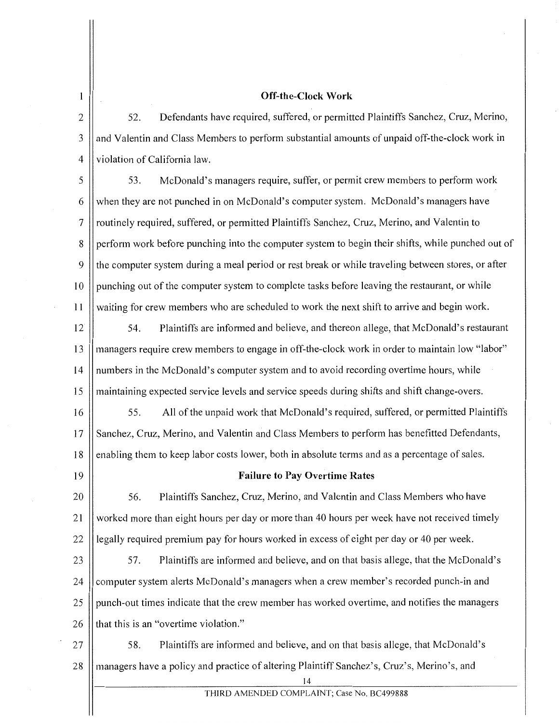## Off-the-Clock Work

2 | 52. Defendants have required, suffered, or permitted Plaintiffs Sanchez, Cruz, Merino, 3 and Valentin and Class Members to perform substantial amounts of unpaid of f-the-clock work in 4 Violation of California law.

5 | 53. McDonald's managers require, suffer, or permit crew members to perform work 6 || when they are not punched in on McDonald's computer system. McDonald's managers have 7 || routinely required, suffered, or permitted Plaintiffs Sanchez, Cruz, Merino, and Valentin to 8 | perform work before punching into the computer system to begin their shifts, while punched out of 9 the computer system during a meal period or rest break or while traveling between stores, or after 10 | punching out of the computer system to complete tasks before leaving the restaurant, or while 11 waiting for crew members who are scheduled to work the next shift to arrive and begin work.

12 54. Plaintiffs are informed and believe, and thereon allege, that McDonald's restaurant 13 managers require crew members to engage in off-the-clock work in order to maintain low "labor" 14 | numbers in the McDonald's computer system and to avoid recording overtime hours, while 15 maintaining expected service levels and service speeds during shifts and shift change-overs.

16 | 55. All of the unpaid work that McDonald's required, suffered, or permitted Plaintiffs 17 Sanchez, Cruz, Merino, and Valentin and Class Members to perform has benefitted Defendants, 18 enabling them to keep labor costs lower, both in absolute terms and as a percentage of sales.

 $\mathbf{1}$ 

#### 19 Failure to Pay Overtime Rates

20 | 56. Plaintiffs Sanchez, Cruz, Merino, and Valentin and Class Members who have 21 Worked more than eight hours per day or more than 40 hours per week have not received timely 22  $\parallel$  legally required premium pay for hours worked in excess of eight per day or 40 per week.

23 | 57. Plaintiffs are informed and believe, and on that basis allege, that the McDonald's 24 computer system alerts McDonald's managers when a crew member's recorded punch-in and 25 || punch-out times indicate that the crew member has worked overtime, and notifies the managers 26  $\parallel$  that this is an "overtime violation."

27  $\parallel$  58. Plaintiffs are informed and believe, and on that basis allege, that McDonald's 28 || managers have a policy and practice of altering Plaintiff Sanchez's, Cruz's, Merino's, and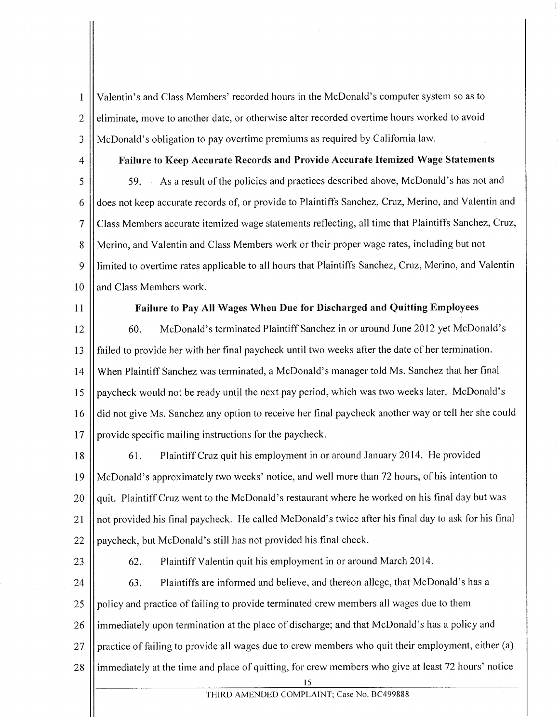$\mathbf{1}$ Valentin's and Class Members' recorded hours in the McDonald's computer system so as to 2 eliminate, move to another date, or otherwise alter recorded overtime hours worked to avoid 3 McDonald's obligation to pay overtime premiums as required by California law.

4 Failure to Keep Accurate Records and Provide Accurate Itemized Wage Statements 5  $\parallel$  59. As a result of the policies and practices described above, McDonald's has not and 6 | does not keep accurate records of, or provide to Plaintiffs Sanchez, Cruz, Merino, and Valentin and 7 Class Members accurate itemized wage statements reflecting, all time that Plaintiffs Sanchez, Cruz, 8 Merino, and Valentin and Class Members work or their proper wage rates, including but not 9 limited to overtime rates applicable to all hours that Plaintiffs Sanchez, Cruz, Merino, and Valentin 10 **and Class Members work.** 

#### 11 | Failure to Pay All Wages When Due for Discharged and Quitting Employees

12  $\vert$  60. McDonald's terminated Plaintiff Sanchez in or around June 2012 yet McDonald's 13 failed to provide her with her final paycheck until two weeks after the date of her termination. 14 When Plaintiff Sanchez was terminated, a McDonald's manager told Ms. Sanchez that her final 15 | paycheck would not be ready until the next pay period, which was two weeks later. McDonald's 16 | did not give Ms. Sanchez any option to receive her final paycheck another way or tell her she could 17 | provide specific mailing instructions for the paycheck.

18 | 61. Plaintiff Cruz quit his employment in or around January 2014. He provided 19 McDonald's approximately two weeks' notice, and well more than 72 hours, ofhis intention to 20  $\parallel$  quit. Plaintiff Cruz went to the McDonald's restaurant where he worked on his final day but was 21 not provided his final paycheck. He called McDonald's twice after his final day to ask for his final 22  $\parallel$  paycheck, but McDonald's still has not provided his final check.

23

62. Plaintiff Valentin quit his employment in or around March 2014.

24 63. Plaintiffs are informed and believe, and thereon allege, that McDonald's has a 25 policy and practice of failing to provide terminated crew members all wages due to them 26 I immediately upon termination at the place of discharge; and that McDonald's has a policy and 27 practice of failing to provide all wages due to crew members who quit their employment, either (a) 28 || immediately at the time and place of quitting, for crew members who give at least 72 hours' notice 15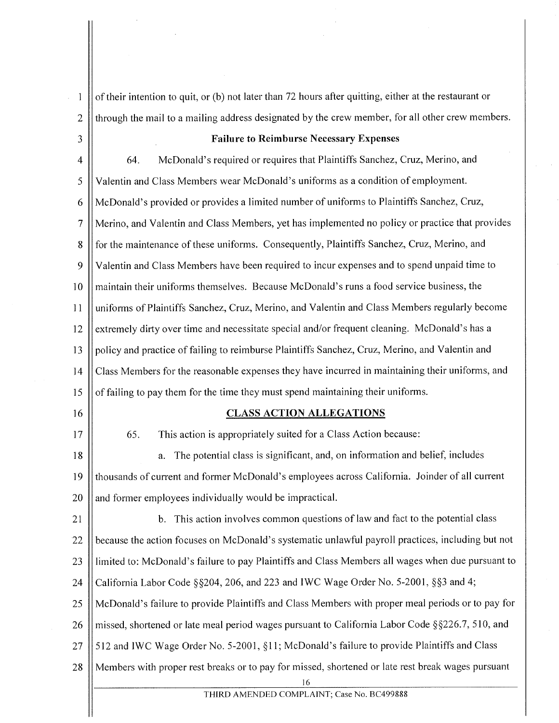of their intention to quit, or (b) not later than 72 hours after quitting, either at the restaurant or  $\mathbf{I}$  $2 \parallel$  through the mail to a mailing address designated by the crew member, for all other crew members. 3 Failure to Reimburse Necessary Expenses 4  $\vert$  64. McDonald's required or requires that Plaintiffs Sanchez, Cruz, Merino, and 5 Valentin and Class Members wear McDonald's uniforms as a condition of employment. 6 McDonald's provided or provides a limited number of uniforms to Plaintiffs Sanchez, Cruz, 7 Merino, and Valentin and Class Members, yet has implemented no policy or practice that provides 8 for the maintenance of these uniforms. Consequently, Plaintiffs Sanchez, Cruz, Merino, and 9 Valentin and Class Members have been required to incur expenses and to spend unpaid time to 10 maintain their uniforms themselves. Because McDonald's runs a food service business, the 11 uniforms of Plaintiffs Sanchez, Cruz, Merino, and Valentin and Class Members regularly become 12 extremely dirty over time and necessitate special and/or frequent cleaning. McDonald's has a 13 | policy and practice of failing to reimburse Plaintiffs Sanchez, Cruz, Merino, and Valentin and 14 Class Members for the reasonable expenses they have incurred in maintaining their uniforms, and 15  $\parallel$  of failing to pay them for the time they must spend maintaining their uniforms. 16 || CLASS ACTION ALLEGATIONS 17  $\vert$  65. This action is appropriately suited for a Class Action because: 18 || a. The potential class is significant, and, on information and belief, includes 19 thousands of current and former McDonald's employees across California. Joinder of all current  $20$  || and former employees individually would be impractical. 21 | b. This action involves common questions of law and fact to the potential class 22  $\parallel$  because the action focuses on McDonald's systematic unlawful payroll practices, including but not 23 limited to: McDonald's failure to pay Plaintiffs and Class Members all wages when due pursuant to 24  $\parallel$  California Labor Code §§204, 206, and 223 and IWC Wage Order No. 5-2001, §§3 and 4; 25 McDonald's failure to provide Plaintiffs and Class Members with proper meal periods or to pay for 26 | missed, shortened or late meal period wages pursuant to California Labor Code  $\S$ §226.7, 510, and 27  $\parallel$  512 and IWC Wage Order No. 5-2001, §11; McDonald's failure to provide Plaintiffs and Class 28 || Members with proper rest breaks or to pay for missed, shortened or late rest break wages pursuant 16

THIRD AMENDED COMPLAINT; Case No. BC499888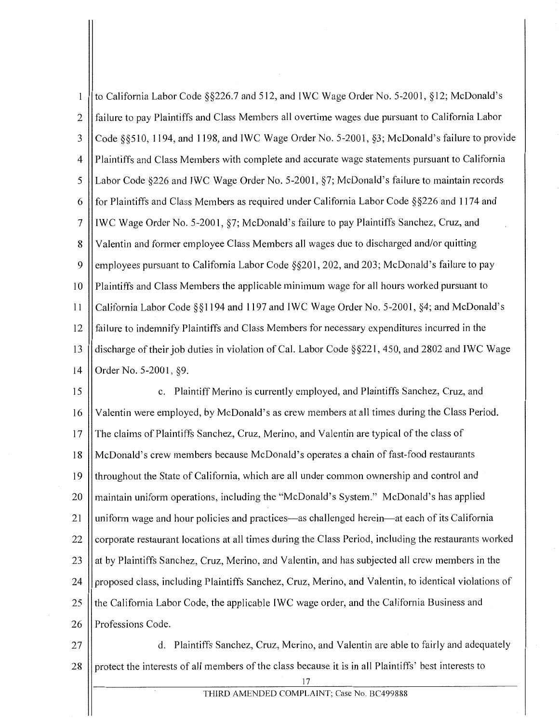to California Labor Code §§226.7 and 512, and IWC Wage Order No. 5-2001, §12; McDonald's  $\mathbf{1}$ 2 failure to pay Plaintiffs and Class Members all overtime wages due pursuant to California Labor 3 Code §§510, 1194, and 1198, and IWC Wage Order No. 5-2001, §3; McDonald's failure to provide 4 Plaintiffs and Class Members with complete and accurate wage statements pursuant to California 5 || Labor Code §226 and IWC Wage Order No. 5-2001, §7; McDonald's failure to maintain records 6  $\parallel$  for Plaintiffs and Class Members as required under California Labor Code §§226 and 1174 and 7 IWC Wage Order No. 5-2001, §7; McDonald's failure to pay Plaintiffs Sanchez, Cruz, and 8 Valentin and former employee Class Members all wages due to discharged and/or quitting 9 employees pursuant to California Labor Code  $\S$ §201, 202, and 203; McDonald's failure to pay 10 || Plaintiffs and Class Members the applicable minimum wage for all hours worked pursuant to 11 California Labor Code§§ 1194 and 1197 and IWC Wage Order No. 5-2001, §4; and McDonald's 12 failure to indemnify Plaintiffs and Class Members for necessary expenditures incurred in the 13 | discharge of their job duties in violation of Cal. Labor Code §§221, 450, and 2802 and IWC Wage 14 | Order No. 5-2001, §9.

15 c. Plaintiff Merino is currently employed, and Plaintiffs Sanchez, Cruz, and 16 Valentin were employed, by McDonald's as crew members at all times during the Class Period. 17 || The claims of Plaintiffs Sanchez, Cruz, Merino, and Valentin are typical of the class of 18 McDonald's crew members because McDonald's operates a chain of fast-food restaurants 19 throughout the State of California, which are all under common ownership and control and 20 || maintain uniform operations, including the "McDonald's System." McDonald's has applied 21 | uniform wage and hour policies and practices—as challenged herein—at each of its California 22 | corporate restaurant locations at all times during the Class Period, including the restaurants worked 23 || at by Plaintiffs Sanchez, Cruz, Merino, and Valentin, and has subjected all crew members in the 24 | proposed class, including Plaintiffs Sanchez, Cruz, Merino, and Valentin, to identical violations of 25 || the California Labor Code, the applicable IWC wage order, and the California Business and 26 || Professions Code.

27 | d. Plaintiffs Sanchez, Cruz, Merino, and Valentin are able to fairly and adequately 28 || protect the interests of all members of the class because it is in all Plaintiffs' best interests to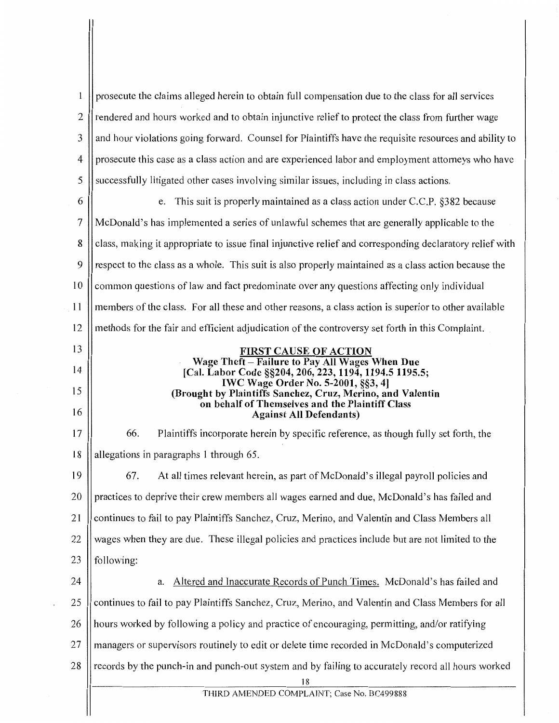| 1              | prosecute the claims alleged herein to obtain full compensation due to the class for all services        |  |  |
|----------------|----------------------------------------------------------------------------------------------------------|--|--|
| 2              | rendered and hours worked and to obtain injunctive relief to protect the class from further wage         |  |  |
| 3              | and hour violations going forward. Counsel for Plaintiffs have the requisite resources and ability to    |  |  |
| 4              | prosecute this case as a class action and are experienced labor and employment attorneys who have        |  |  |
| 5              | successfully litigated other cases involving similar issues, including in class actions.                 |  |  |
| 6              | This suit is properly maintained as a class action under C.C.P. §382 because<br>e.                       |  |  |
| $\overline{7}$ | McDonald's has implemented a series of unlawful schemes that are generally applicable to the             |  |  |
| 8              | class, making it appropriate to issue final injunctive relief and corresponding declaratory relief with  |  |  |
| 9              | respect to the class as a whole. This suit is also properly maintained as a class action because the     |  |  |
| 10             | common questions of law and fact predominate over any questions affecting only individual                |  |  |
| <sup>11</sup>  | members of the class. For all these and other reasons, a class action is superior to other available     |  |  |
| 12             | methods for the fair and efficient adjudication of the controversy set forth in this Complaint.          |  |  |
| 13             | <b>FIRST CAUSE OF ACTION</b>                                                                             |  |  |
| 14             | Wage Theft - Failure to Pay All Wages When Due<br>[Cal. Labor Code §§204, 206, 223, 1194, 1194.5 1195.5; |  |  |
| 15             | <b>IWC Wage Order No. 5-2001, §§3, 4]</b><br>(Brought by Plaintiffs Sanchez, Cruz, Merino, and Valentin  |  |  |
| 16             | on behalf of Themselves and the Plaintiff Class<br><b>Against All Defendants)</b>                        |  |  |
| 17             | Plaintiffs incorporate herein by specific reference, as though fully set forth, the<br>66.               |  |  |
| 18             | allegations in paragraphs 1 through 65.                                                                  |  |  |
| 19             | 67.<br>At all times relevant herein, as part of McDonald's illegal payroll policies and                  |  |  |
| 20             | practices to deprive their crew members all wages earned and due, McDonald's has failed and              |  |  |
| 21             | continues to fail to pay Plaintiffs Sanchez, Cruz, Merino, and Valentin and Class Members all            |  |  |
| 22             | wages when they are due. These illegal policies and practices include but are not limited to the         |  |  |
| 23             | following:                                                                                               |  |  |
| 24             | Altered and Inaccurate Records of Punch Times. McDonald's has failed and<br>а.                           |  |  |
| 25             | continues to fail to pay Plaintiffs Sanchez, Cruz, Merino, and Valentin and Class Members for all        |  |  |
| 26             | hours worked by following a policy and practice of encouraging, permitting, and/or ratifying             |  |  |
| 27             | managers or supervisors routinely to edit or delete time recorded in McDonald's computerized             |  |  |
| 28             | records by the punch-in and punch-out system and by failing to accurately record all hours worked        |  |  |
|                | 18<br>THIRD AMENDED COMPLAINT; Case No. BC499888                                                         |  |  |
|                |                                                                                                          |  |  |

 $\cdot$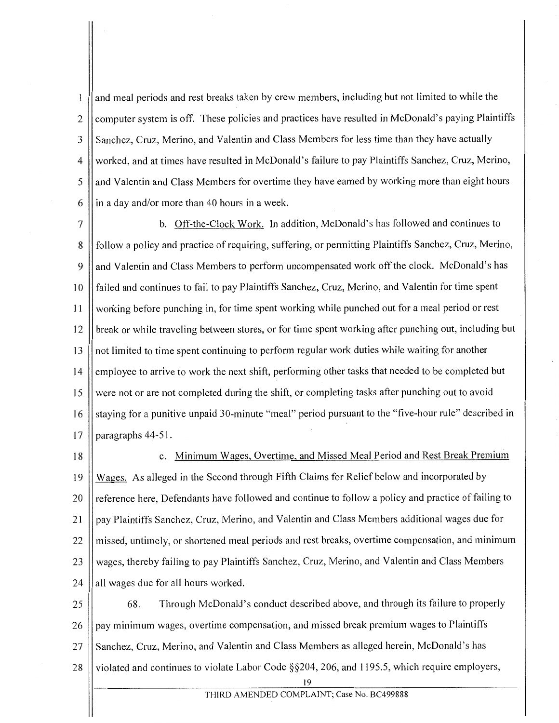and meal periods and rest breaks taken by crew members, including but not limited to while the  $\mathbf{1}$ 2 || computer system is off. These policies and practices have resulted in McDonald's paying Plaintiffs 3 Sanchez, Cruz, Merino, and Valentin and Class Members for less time than they have actually 4 | worked, and at times have resulted in McDonald's failure to pay Plaintiffs Sanchez, Cruz, Merino, 5 || and Valentin and Class Members for overtime they have earned by working more than eight hours 6  $\parallel$  in a day and/or more than 40 hours in a week.

7 | b. Off-the-Clock Work. In addition, McDonald's has followed and continues to 8 | follow a policy and practice of requiring, suffering, or permitting Plaintiffs Sanchez, Cruz, Merino, 9 || and Valentin and Class Members to perform uncompensated work off the clock. McDonald's has 10 || failed and continues to fail to pay Plaintiffs Sanchez, Cruz, Merino, and Valentin for time spent II working before punching in, for time spent working while punched out for a meal period or rest 12 || break or while traveling between stores, or for time spent working after punching out, including but  $13$  || not limited to time spent continuing to perform regular work duties while waiting for another 14 | employee to arrive to work the next shift, performing other tasks that needed to be completed but 15 were not or are not completed during the shift, or completing tasks after punching out to avoid 16 | staying for a punitive unpaid 30-minute "meal" period pursuant to the "five-hour rule" described in 17  $\parallel$  paragraphs 44-51.

# 18 | C. Minimum Wages, Overtime, and Missed Meal Period and Rest Break Premium

I9 Wages. As alleged in the Second through Fifth Claims for Relief below and incorporated by 20 I reference here, Defendants have followed and continue to follow a policy and practice of failing to 21 | pay Plaintiffs Sanchez, Cruz, Merino, and Valentin and Class Members additional wages due for 22 || missed, untimely, or shortened meal periods and rest breaks, overtime compensation, and minimum 23 || wages, thereby failing to pay Plaintiffs Sanchez, Cruz, Merino, and Valentin and Class Members 24  $\parallel$  all wages due for all hours worked.

25  $\vert$  68. Through McDonald's conduct described above, and through its failure to properly 26 || pay minimum wages, overtime compensation, and missed break premium wages to Plaintiffs 27 || Sanchez, Cruz, Merino, and Valentin and Class Members as alleged herein, McDonald's has 28 | violated and continues to violate Labor Code §§204, 206, and 1195.5, which require employers,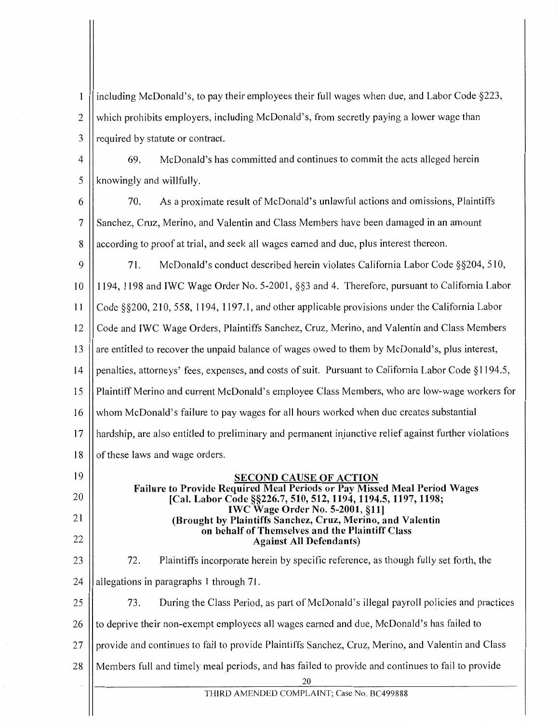including McDonald's, to pay their employees their full wages when due, and Labor Code §223,  $\mathbf{1}$  $2 \parallel$  which prohibits employers, including McDonald's, from secretly paying a lower wage than 3 || required by statute or contract.

4 69. McDonald's has committed and continues to commit the acts alleged herein  $5$  || knowingly and willfully.

6 70. As a proximate result of McDonald's unlawful actions and omissions, Plaintiffs 7 Sanchez, Cruz, Merino, and Valentin and Class Members have been damaged in an amount 8 according to proof at trial, and seek all wages earned and due, plus interest thereon.

 $\mathbf Q$ 10 11 12 13 14 15 16 17 18 71. McDonald's conduct described herein violates California Labor Code §§204, 510, 1194, 1198 and IWC Wage Order No. 5-2001, §§3 and 4. Therefore, pursuant to California Labor Code §§200, 210, 558, 1194, 1197.1, and other applicable provisions under the California Labor Code and IWC Wage Orders, Plaintiffs Sanchez, Cruz, Merino, and Valentin and Class Members are entitled to recover the unpaid balance of wages owed to them by McDonald's, plus interest, penalties, attorneys' fees, expenses, and costs of suit. Pursuant to California Labor Code § 1194.5, Plaintiff Merino and current McDonald's employee Class Members, who are low-wage workers for whom McDonald's failure to pay wages for all hours worked when due creates substantial hardship, are also entitled to preliminary and permanent injunctive relief against further violations of these laws and wage orders.

19 20

21

22

23

72.

# IWC Wage Order No. 5-2001, §11] (Brought by Plaintiffs Sanchez, Cruz, Merino, and Valentin on behalf of Themselves and the Plaintiff Class Against All Defendants) Plaintiffs incorporate herein by specific reference, as though fully set forth, the

SECOND CAUSE OF ACTION Failure to Provide Required Meal Periods or Pay Missed Meal Period Wages [Cal. Labor Code §§226.7, 510, 512, 1194, 1194.5, 1197, 1198;

24  $\parallel$  allegations in paragraphs 1 through 71.

25  $\parallel$  73. During the Class Period, as part of McDonald's illegal payroll policies and practices

26  $\parallel$  to deprive their non-exempt employees all wages earned and due, McDonald's has failed to

27 || provide and continues to fail to provide Plaintiffs Sanchez, Cruz, Merino, and Valentin and Class

28 Members full and timely meal periods, and has failed to provide and continues to fail to provide

20

THIRD AMENDED COMPLAINT; Case No. BC499888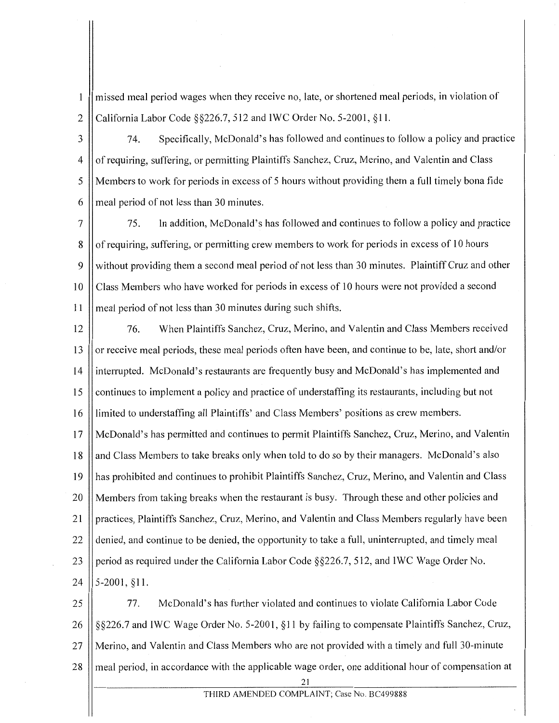missed meal period wages when they receive no, late, or shortened meal periods, in violation of 1 2 California Labor Code  $\S$   $\S$ 226.7, 512 and IWC Order No. 5-2001,  $\S$ 11.

3 74. Specifically, McDonald's has followed and continues to follow a policy and practice 4 || of requiring, suffering, or permitting Plaintiffs Sanchez, Cruz, Merino, and Valentin and Class 5 Members to work for periods in excess of 5 hours without providing them a full timely bona fide  $6 \parallel$  meal period of not less than 30 minutes.

7 75. In addition, McDonald's has followed and continues to follow a policy and practice 8 of requiring, suffering, or permitting crew members to work for periods in excess of 10 hours 9 || without providing them a second meal period of not less than 30 minutes. Plaintiff Cruz and other 10 Class Members who have worked for periods in excess of 10 hours were not provided a second 11 || meal period of not less than 30 minutes during such shifts.

12 76. When Plaintiffs Sanchez, Cruz, Merino, and Valentin and Class Members received 13 or receive meal periods, these meal periods often have been, and continue to be, late, short and/or 14 interrupted. McDonald's restaurants are frequently busy and McDonald's has implemented and 15 | continues to implement a policy and practice of understaffing its restaurants, including but not 16 limited to understaffing all Plaintiffs' and Class Members' positions as crew members. 17 McDonald's has permitted and continues to permit Plaintiffs Sanchez, Cruz, Merino, and Valentin 18 || and Class Members to take breaks only when told to do so by their managers. McDonald's also 19 has prohibited and continues to prohibit Plaintiffs Sanchez, Cruz, Merino, and Valentin and Class 20 || Members from taking breaks when the restaurant is busy. Through these and other policies and 21 Spractices, Plaintiffs Sanchez, Cruz, Merino, and Valentin and Class Members regularly have been 22 denied, and continue to be denied, the opportunity to take a full, uninterrupted, and timely meal 23 period as required under the California Labor Code  $\S$ §226.7, 512, and IWC Wage Order No.

 $24$  | 5-2001, §11.

25 77. McDonald's has further violated and continues to violate California Labor Code 26 || §§226.7 and IWC Wage Order No. 5-2001, §11 by failing to compensate Plaintiffs Sanchez, Cruz, 27 Merino, and Valentin and Class Members who are not provided with a timely and full 30-minute 28 || meal period, in accordance with the applicable wage order, one additional hour of compensation at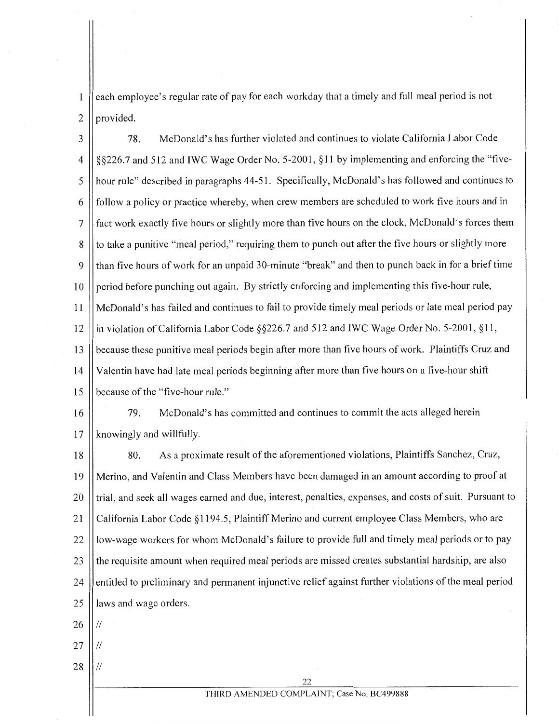each employee's regular rate of pay for each workday that a timely and full meal period is not  $\mathbf{1}$  $2$  | provided.

3 78. McDonald's has further violated and continues to violate California Labor Code 4  $\parallel$  §§226.7 and 512 and IWC Wage Order No. 5-2001, §11 by implementing and enforcing the "five-5 hour rule" described in paragraphs 44-5I. Specifically, McDonald's has followed and continues to  $6 \parallel$  follow a policy or practice whereby, when crew members are scheduled to work five hours and in 7 fact work exactly five hours or slightly more than five hours on the clock, McDonald's forces them 8 to take a punitive "meal period," requiring them to punch out after the five hours or slightly more 9 than five hours of work for an unpaid 30-minute "break" and then to punch back in for a brief time  $10$  | period before punching out again. By strictly enforcing and implementing this five-hour rule, 11 McDonald's has failed and continues to fail to provide timely meal periods or late meal period pay 12 | in violation of California Labor Code §§226.7 and 512 and IWC Wage Order No. 5-2001, §11, 13 Subsequent these punitive meal periods begin after more than five hours of work. Plaintiffs Cruz and 14 Valentin have had late meal periods beginning after more than five hours on a five-hour shift 15 | because of the "five-hour rule."

I6 79. McDonald's has committed and continues to commit the acts alleged herein  $17$  || knowingly and willfully.

18 80. As a proximate result of the aforementioned violations, Plaintiffs Sanchez, Cruz, I9 Merino, and Valentin and Class Members have been damaged in an amount according to proof at 20 || trial, and seek all wages earned and due, interest, penalties, expenses, and costs of suit. Pursuant to 21 || California Labor Code §1194.5, Plaintiff Merino and current employee Class Members, who are 22 || low-wage workers for whom McDonald's failure to provide full and timely meal periods or to pay 23 the requisite amount when required meal periods are missed creates substantial hardship, are also 24 | entitled to preliminary and permanent injunctive relief against further violations of the meal period 25 || laws and wage orders.

 $26$  II //

- $27$  II //
- $28$  ||//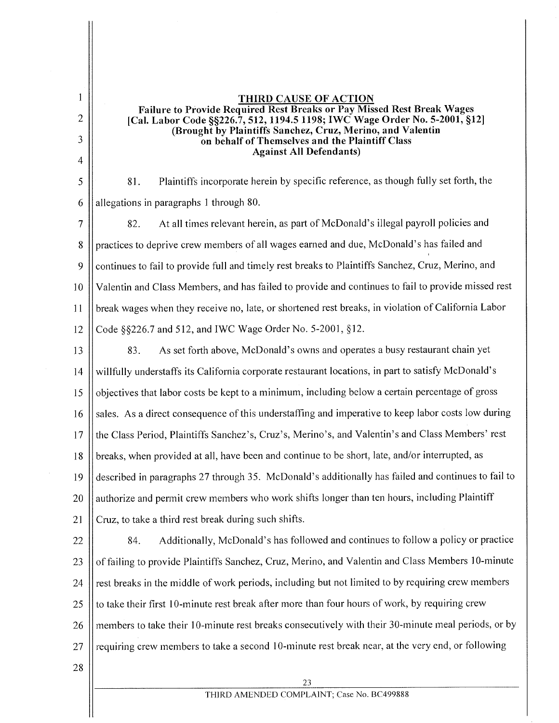THIRD CAUSE OF ACTION Failure to Provide Required Rest Breaks or Pay Missed Rest Break Wages [Cal. Labor Code §§226.7, 512, 1194.5 1198; IWC Wage Order No. 5-2001, §12] (Brought by Plaintiffs Sanchez, Cruz, Merino, and Valentin on behalf of Themselves and the Plaintiff Class Against All Defendants) 81. Plaintiffs incorporate herein by specific reference, as though fully set forth, the

6 | allegations in paragraphs 1 through 80.

2

 $\mathbf{1}$ 

3

4

5

7 82. At all times relevant herein, as part of McDonald's illegal payroll policies and 8 practices to deprive crew members of all wages earned and due, McDonald's has failed and 9 Continues to fail to provide full and timely rest breaks to Plaintiffs Sanchez, Cruz, Merino, and 10 Valentin and Class Members, and has failed to provide and continues to fail to provide missed rest 11 break wages when they receive no, late, or shortened rest breaks, in violation of California Labor 12 Code  $\frac{$2001, $226.7$$  and  $512$ , and IWC Wage Order No. 5-2001,  $\$12$ .

- 13 | 83. As set forth above, McDonald's owns and operates a busy restaurant chain yet 14 willfully understaffs its California corporate restaurant locations, in part to satisfy McDonald's  $15$  | objectives that labor costs be kept to a minimum, including below a certain percentage of gross 16 Sales. As a direct consequence of this understaffing and imperative to keep labor costs low during 17 the Class Period, Plaintiffs Sanchez's, Cruz's, Merino's, and Valentin's and Class Members' rest 18 breaks, when provided at all, have been and continue to be short, late, and/or interrupted, as I9 described in paragraphs 27 through 35. McDonald's additionally has failed and continues to fail to 20 | authorize and permit crew members who work shifts longer than ten hours, including Plaintiff 21  $\parallel$  Cruz, to take a third rest break during such shifts.
- 22 | 84. Additionally, McDonald's has followed and continues to follow a policy or practice 23 | of failing to provide Plaintiffs Sanchez, Cruz, Merino, and Valentin and Class Members 10-minute  $24$  | rest breaks in the middle of work periods, including but not limited to by requiring crew members 25  $\parallel$  to take their first 10-minute rest break after more than four hours of work, by requiring crew 26 members to take their 10-minute rest breaks consecutively with their 30-minute meal periods, or by 27  $\parallel$  requiring crew members to take a second 10-minute rest break near, at the very end, or following
- 28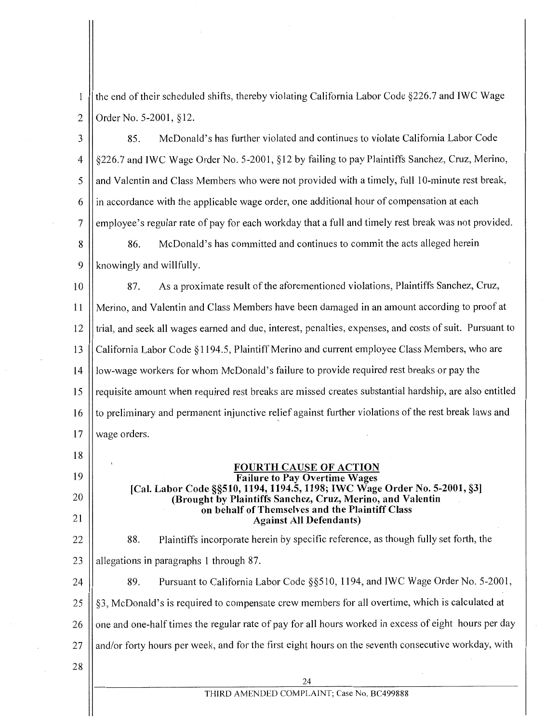the end of their scheduled shifts, thereby violating California Labor Code §226.7 and IWC Wage  $\mathbf{1}$ 2 | Order No. 5-2001,  $§12$ .

3 85. McDonald's has further violated and continues to violate California Labor Code 4 | §226.7 and IWC Wage Order No. 5-2001, §12 by failing to pay Plaintiffs Sanchez, Cruz, Merino, 5 || and Valentin and Class Members who were not provided with a timely, full 10-minute rest break,  $6 \parallel$  in accordance with the applicable wage order, one additional hour of compensation at each 7 | employee's regular rate of pay for each workday that a full and timely rest break was not provided. 8 8 86. McDonald's has committed and continues to commit the acts alleged herein  $9$  || knowingly and willfully. 10 87. As a proximate result of the aforementioned violations, Plaintiffs Sanchez, Cruz, 11 Merino, and Valentin and Class Members have been damaged in an amount according to proof at  $12$  trial, and seek all wages earned and due, interest, penalties, expenses, and costs of suit. Pursuant to 13 California Labor Code § 1194.5, Plaintiff Merino and current employee Class Members, who are 14 | low-wage workers for whom McDonald's failure to provide required rest breaks or pay the 15 || requisite amount when required rest breaks are missed creates substantial hardship, are also entitled 16 || to preliminary and permanent injunctive relief against further violations of the rest break laws and 17 || wage orders. 18

#### FOURTH CAUSE OF ACTION Failure to Pay Overtime Wages [Cal. Labor Code §§510, 1194, 1194.5, 1198; IWC Wage Order No. 5-2001, §3] (Brought by Plaintiffs Sanchez, Cruz, Merino, and Valentin on behalf of Themselves and the Plaintiff Class

Against All Defendants) 88. Plaintiffs incorporate herein by specific reference, as though fully set forth, the 23  $\parallel$  allegations in paragraphs 1 through 87.

 $\vert$  89. Pursuant to California Labor Code §§510, 1194, and IWC Wage Order No. 5-2001,  $\parallel$  §3, McDonald's is required to compensate crew members for all overtime, which is calculated at 26 || one and one-half times the regular rate of pay for all hours worked in excess of eight hours per day || and/or forty hours per week, and for the first eight hours on the seventh consecutive workday, with

28

19

20

21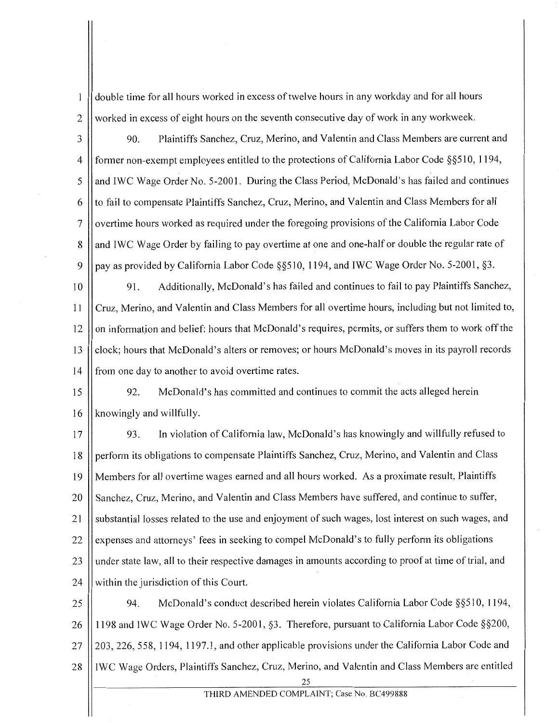double time for all hours worked in excess of twelve hours in any workday and for all hours  $\mathbf{1}$ 2 worked in excess of eight hours on the seventh consecutive day of work in any workweek.

3 | 90. Plaintiffs Sanchez, Cruz, Merino, and Valentin and Class Members are current and 4 || former non-exempt employees entitled to the protections of California Labor Code §§510, 1194, 5 || and IWC Wage Order No. 5-2001. During the Class Period, McDonald's has failed and continues  $6$  || to fail to compensate Plaintiffs Sanchez, Cruz, Merino, and Valentin and Class Members for all 7 | overtime hours worked as required under the foregoing provisions of the California Labor Code 8 || and IWC Wage Order by failing to pay overtime at one and one-half or double the regular rate of 9 || pay as provided by California Labor Code §§510, 1194, and IWC Wage Order No. 5-2001, §3.

10 | 91. Additionally, McDonald's has failed and continues to fail to pay Plaintiffs Sanchez, 11 | Cruz, Merino, and Valentin and Class Members for all overtime hours, including but not limited to,  $12$  on information and belief: hours that McDonald's requires, permits, or suffers them to work off the 13 Clock; hours that McDonald's alters or removes; or hours McDonald's moves in its payroll records 14 | from one day to another to avoid overtime rates.

15 92. McDonald's has committed and continues to commit the acts alleged herein 16 | knowingly and willfully.

17 | 93. In violation of California law, McDonald's has knowingly and willfully refused to 18 | perform its obligations to compensate Plaintiffs Sanchez, Cruz, Merino, and Valentin and Class 19 Members for all overtime wages earned and all hours worked. As a proximate result, Plaintiffs 20 | Sanchez, Cruz, Merino, and Valentin and Class Members have suffered, and continue to suffer, 21 | substantial losses related to the use and enjoyment of such wages, lost interest on such wages, and 22 | expenses and attorneys' fees in seeking to compel McDonald's to fully perform its obligations  $23$  || under state law, all to their respective damages in amounts according to proof at time of trial, and 24  $\parallel$  within the jurisdiction of this Court.

25 | 94. McDonald's conduct described herein violates California Labor Code §§510, 1194, 26 1198 and IWC Wage Order No. 5-2001, §3. Therefore, pursuant to California Labor Code §§200, 27 || 203, 226, 558, 1194, 1197.1, and other applicable provisions under the California Labor Code and 28 | IWC Wage Orders, Plaintiffs Sanchez, Cruz, Merino, and Valentin and Class Members are entitled

<sup>25</sup>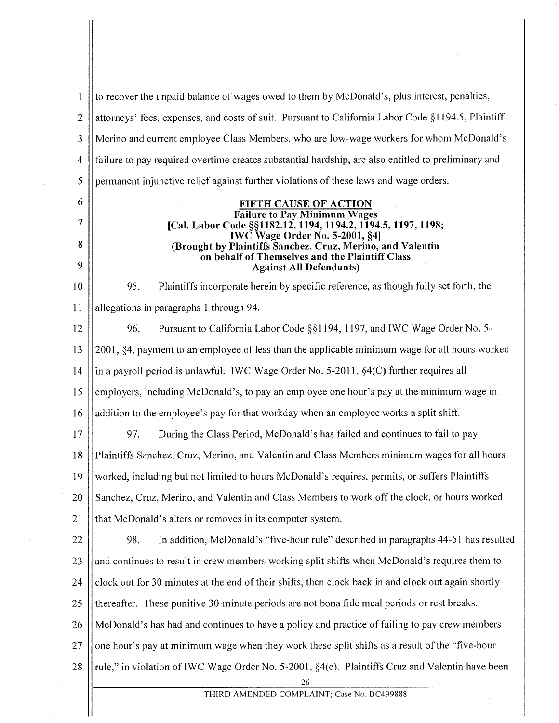to recover the unpaid balance of wages owed to them by McDonald's, plus interest, penalties,  $\mathbf{1}$ 2 attorneys' fees, expenses, and costs of suit. Pursuant to California Labor Code § II94.5, Plaintiff Merino and current employee Class Members, who are low-wage workers for whom McDonald's 3 4 failure to pay required overtime creates substantial hardship, are also entitled to preliminary and 5 permanent injunctive relief against further violations of these laws and wage orders. 6 FIFTH CAUSE OF ACTION Failure to Pay Minimum Wages 7 [Cal. Labor Code §§1182.12, 1194, 1194.2, 1194.5, 1197, 1198; IWC Wage Order No. 5-2001, §4] 8 (Brought by Plaintiffs Sanchez, Cruz, Merino, and Valentin on behalf of Themselves and the Plaintiff Class 9 Against All Defendants) 95. Plaintiffs incorporate herein by specific reference, as though fully set forth, the 10 11 | allegations in paragraphs 1 through 94. 12 96. Pursuant to California Labor Code  $\S$ § 1194, 1197, and IWC Wage Order No. 5-13 2001, §4, payment to an employee ofless than the applicable minimum wage for all hours worked 14  $\parallel$  in a payroll period is unlawful. IWC Wage Order No. 5-2011, §4(C) further requires all 15  $\parallel$  employers, including McDonald's, to pay an employee one hour's pay at the minimum wage in 16 addition to the employee's pay for that workday when an employee works a split shift. 17 97. During the Class Period, McDonald's has failed and continues to fail to pay 18 Plaintiffs Sanchez, Cruz, Merino, and Valentin and Class Members minimum wages for all hours 19 Worked, including but not limited to hours McDonald's requires, permits, or suffers Plaintiffs 20 Sanchez, Cruz, Merino, and Valentin and Class Members to work off the clock, or hours worked 21 | that McDonald's alters or removes in its computer system. 22 | 98. In addition, McDonald's "five-hour rule" described in paragraphs 44-51 has resulted  $23$  and continues to result in crew members working split shifts when McDonald's requires them to 24  $\vert\vert$  clock out for 30 minutes at the end of their shifts, then clock back in and clock out again shortly 25 Thereafter. These punitive 30-minute periods are not bona fide meal periods or rest breaks. 26 McDonald's has had and continues to have a policy and practice of failing to pay crew members 27  $\Box$  one hour's pay at minimum wage when they work these split shifts as a result of the "five-hour" 28  $\parallel$  rule," in violation of IWC Wage Order No. 5-2001, §4(c). Plaintiffs Cruz and Valentin have been 26 THIRD AMENDED COMPLAINT; Case No. BC499888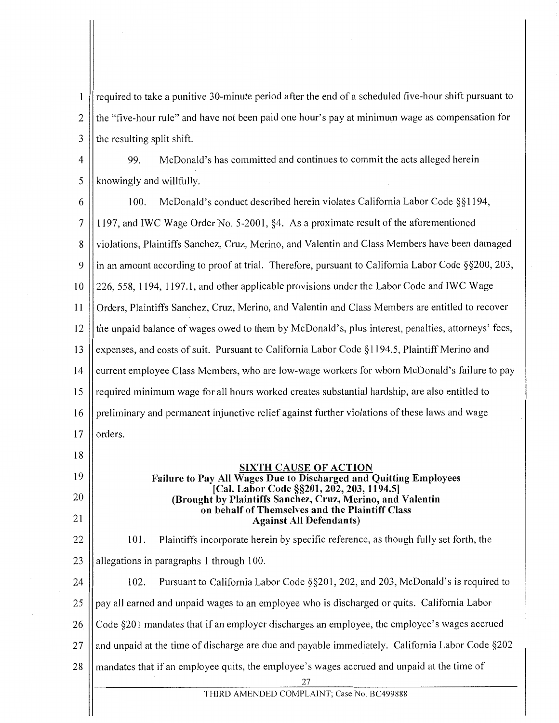required to take a punitive 30-minute period after the end of a scheduled five-hour shift pursuant to  $\mathbf{1}$ 2 the "five-hour rule" and have not been paid one hour's pay at minimum wage as compensation for  $3$  || the resulting split shift.

4 99. McDonald's has committed and continues to commit the acts alleged herein  $5$  || knowingly and willfully.

6  $\parallel$  100. McDonald's conduct described herein violates California Labor Code §§1194, 7 1197, and IWC Wage Order No. 5-2001, §4. As a proximate result of the aforementioned 8 | violations, Plaintiffs Sanchez, Cruz, Merino, and Valentin and Class Members have been damaged 9  $\parallel$  in an amount according to proof at trial. Therefore, pursuant to California Labor Code §§200, 203, 10 226, 558, 1194, 1197.1, and other applicable provisions under the Labor Code and IWC Wage 11 Orders, Plaintiffs Sanchez, Cruz, Merino, and Valentin and Class Members are entitled to recover 12 || the unpaid balance of wages owed to them by McDonald's, plus interest, penalties, attorneys' fees, 13 || expenses, and costs of suit. Pursuant to California Labor Code §1194.5, Plaintiff Merino and 14 | current employee Class Members, who are low-wage workers for whom McDonald's failure to pay 15 || required minimum wage for all hours worked creates substantial hardship, are also entitled to 16 || preliminary and permanent injunctive relief against further violations of these laws and wage  $17$  | orders. 18 19 SIXTH CAUSE OF ACTION

# Failure to Pay All Wages Due to Discharged and Quitting Employees [Cal. Labor Code §§201, 202, 203, 1194.5] (Brought by Plaintiffs Sanchez, Cruz, Merino, and Valentin on behalf of Themselves and the Plaintiff Class Against All Defendants)

22 101. Plaintiffs incorporate herein by specific reference, as though fully set forth, the 23  $\parallel$  allegations in paragraphs 1 through 100. 24  $\vert$  102. Pursuant to California Labor Code §§201, 202, and 203, McDonald's is required to

20

21

 $25$  || pay all earned and unpaid wages to an employee who is discharged or quits. California Labor

26 Code §201 mandates that if an employer discharges an employee, the employee's wages accrued

27 || and unpaid at the time of discharge are due and payable immediately. California Labor Code §202

28 mandates that if an employee quits, the employee's wages accrued and unpaid at the time of

27

THIRD AMENDED COMPLAINT; Case No. BC499888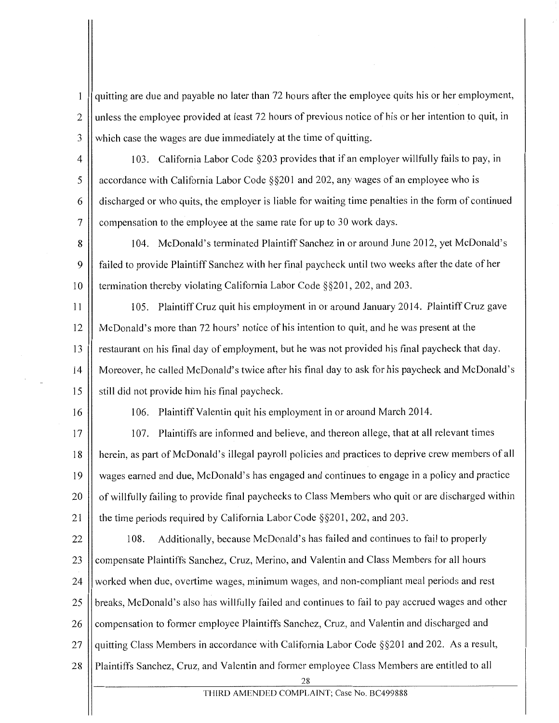quitting are due and payable no later than 72 hours after the employee quits his or her employment,  $\mathbf{1}$ 2 || unless the employee provided at least 72 hours of previous notice of his or her intention to quit, in  $3$  || which case the wages are due immediately at the time of quitting.

4 | 103. California Labor Code §203 provides that if an employer willfully fails to pay, in 5  $\parallel$  accordance with California Labor Code §§201 and 202, any wages of an employee who is 6 discharged or who quits, the employer is liable for waiting time penalties in the form of continued 7 | compensation to the employee at the same rate for up to 30 work days.

8 | 104. McDonald's terminated Plaintiff Sanchez in or around June 2012, yet McDonald's 9 failed to provide Plaintiff Sanchez with her final paycheck until two weeks after the date of her 10 | termination thereby violating California Labor Code §§201, 202, and 203.

- 11 105. Plaintiff Cruz quit his employment in or around January 2014. Plaintiff Cruz gave 12 McDonald's more than 72 hours' notice of his intention to quit, and he was present at the 13 restaurant on his final day of employment, but he was not provided his final paycheck that day. 14 Moreover, he called McDonald's twice after his final day to ask for his paycheck and McDonald's  $15$   $\parallel$  still did not provide him his final paycheck.
- 

16 | 106. Plaintiff Valentin quit his employment in or around March 2014.

17 107. Plaintiffs are informed and believe, and thereon allege, that at all relevant times 18 | herein, as part of McDonald's illegal payroll policies and practices to deprive crew members of all 19 wages earned and due, McDonald's has engaged and continues to engage in a policy and practice 20 | of willfully failing to provide final paychecks to Class Members who quit or are discharged within 21 | the time periods required by California Labor Code §§201, 202, and 203.

 $22$  || 108. Additionally, because McDonald's has failed and continues to fail to properly 23 || compensate Plaintiffs Sanchez, Cruz, Merino, and Valentin and Class Members for all hours 24 || worked when due, overtime wages, minimum wages, and non-compliant meal periods and rest 25 || breaks, McDonald's also has willfully failed and continues to fail to pay accrued wages and other 26 Compensation to former employee Plaintiffs Sanchez, Cruz, and Valentin and discharged and 27  $\parallel$  quitting Class Members in accordance with California Labor Code §§201 and 202. As a result, 28 Plaintiffs Sanchez, Cruz, and Valentin and former employee Class Members are entitled to all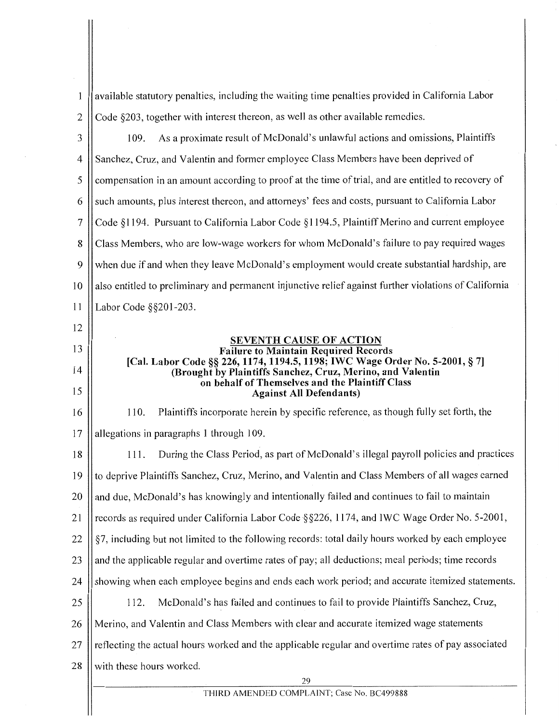$\mathbf{1}$ available statutory penalties, including the waiting time penalties provided in California Labor 2  $\vert$  Code §203, together with interest thereon, as well as other available remedies. 3 | 109. As a proximate result of McDonald's unlawful actions and omissions, Plaintiffs 4 Sanchez, Cruz, and Valentin and former employee Class Members have been deprived of 5 compensation in an amount according to proof at the time of trial, and are entitled to recovery of  $6 \parallel$  such amounts, plus interest thereon, and attorneys' fees and costs, pursuant to California Labor 7 Code § 1194. Pursuant to California Labor Code § 1194.5, Plaintiff Merino and current employee 8 Class Members, who are low-wage workers for whom McDonald's failure to pay required wages 9 || when due if and when they leave McDonald's employment would create substantial hardship, are 10 || also entitled to preliminary and permanent injunctive relief against further violations of California 11 Labor Code §§201-203. 12 SEVENTH CAUSE OF ACTION 13 Failure to Maintain Required Records [Cal. Labor Code§§ 226, 1174, 1194.5, 1198; IWC Wage Order No. 5-2001, § 7] 14 (Brought by Plaintiffs Sanchez, Cruz, Merino, and Valentin on behalf of Themselves and the Plaintiff Class 15 Against All Defendants) 110. Plaintiffs incorporate herein by specific reference, as though fully set forth, the 16  $17$  || allegations in paragraphs 1 through 109. 18 | 111. During the Class Period, as part of McDonald's illegal payroll policies and practices 19 to deprive Plaintiffs Sanchez, Cruz, Merino, and Valentin and Class Members of all wages earned  $20$  || and due, McDonald's has knowingly and intentionally failed and continues to fail to maintain 21 || records as required under California Labor Code  $\S$ §226, 1174, and IWC Wage Order No. 5-2001, 22  $\|\$  §7, including but not limited to the following records: total daily hours worked by each employee 23 || and the applicable regular and overtime rates of pay; all deductions; meal periods; time records 24 | showing when each employee begins and ends each work period; and accurate itemized statements. 25 112. McDonald's has failed and continues to fail to provide Plaintiffs Sanchez, Cruz, 26 Merino, and Valentin and Class Members with clear and accurate itemized wage statements  $27$  reflecting the actual hours worked and the applicable regular and overtime rates of pay associated 28 || with these hours worked.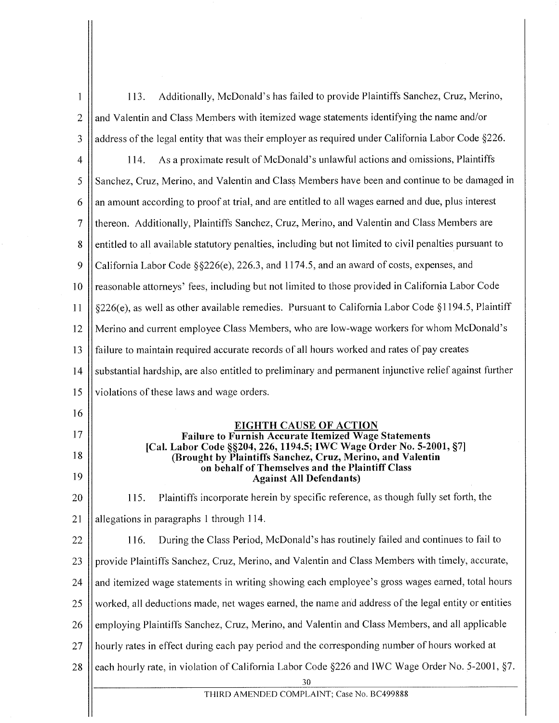| $\mathbf{1}$   | Additionally, McDonald's has failed to provide Plaintiffs Sanchez, Cruz, Merino,<br>113.                                                                            |  |
|----------------|---------------------------------------------------------------------------------------------------------------------------------------------------------------------|--|
| $\overline{2}$ | and Valentin and Class Members with itemized wage statements identifying the name and/or                                                                            |  |
| 3              | address of the legal entity that was their employer as required under California Labor Code §226.                                                                   |  |
| $\overline{4}$ | As a proximate result of McDonald's unlawful actions and omissions, Plaintiffs<br>114.                                                                              |  |
| 5              | Sanchez, Cruz, Merino, and Valentin and Class Members have been and continue to be damaged in                                                                       |  |
| 6              | an amount according to proof at trial, and are entitled to all wages earned and due, plus interest                                                                  |  |
| 7              | thereon. Additionally, Plaintiffs Sanchez, Cruz, Merino, and Valentin and Class Members are                                                                         |  |
| 8              | entitled to all available statutory penalties, including but not limited to civil penalties pursuant to                                                             |  |
| 9              | California Labor Code §§226(e), 226.3, and 1174.5, and an award of costs, expenses, and                                                                             |  |
| 10             | reasonable attorneys' fees, including but not limited to those provided in California Labor Code                                                                    |  |
| 11             | §226(e), as well as other available remedies. Pursuant to California Labor Code §1194.5, Plaintiff                                                                  |  |
| 12             | Merino and current employee Class Members, who are low-wage workers for whom McDonald's                                                                             |  |
| 13             | failure to maintain required accurate records of all hours worked and rates of pay creates                                                                          |  |
| 14             | substantial hardship, are also entitled to preliminary and permanent injunctive relief against further                                                              |  |
| 15             | violations of these laws and wage orders.                                                                                                                           |  |
| 16             |                                                                                                                                                                     |  |
| 17             | <b>EIGHTH CAUSE OF ACTION</b><br><b>Failure to Furnish Accurate Itemized Wage Statements</b><br>[Cal. Labor Code §§204, 226, 1194.5; IWC Wage Order No. 5-2001, §7] |  |
| 18             | (Brought by Plaintiffs Sanchez, Cruz, Merino, and Valentin<br>on behalf of Themselves and the Plaintiff Class                                                       |  |
| 19             | <b>Against All Defendants)</b>                                                                                                                                      |  |
| 20             | Plaintiffs incorporate herein by specific reference, as though fully set forth, the<br>115.                                                                         |  |
| 21             | allegations in paragraphs 1 through 114.                                                                                                                            |  |
| 22             | During the Class Period, McDonald's has routinely failed and continues to fail to<br>116.                                                                           |  |
| 23             | provide Plaintiffs Sanchez, Cruz, Merino, and Valentin and Class Members with timely, accurate,                                                                     |  |
| 24             | and itemized wage statements in writing showing each employee's gross wages earned, total hours                                                                     |  |
| 25             | worked, all deductions made, net wages earned, the name and address of the legal entity or entities                                                                 |  |
| 26             | employing Plaintiffs Sanchez, Cruz, Merino, and Valentin and Class Members, and all applicable                                                                      |  |
| 27             | hourly rates in effect during each pay period and the corresponding number of hours worked at                                                                       |  |
| 28             | each hourly rate, in violation of California Labor Code §226 and IWC Wage Order No. 5-2001, §7.                                                                     |  |
|                | 30                                                                                                                                                                  |  |
|                | THIRD AMENDED COMPLAINT; Case No. BC499888                                                                                                                          |  |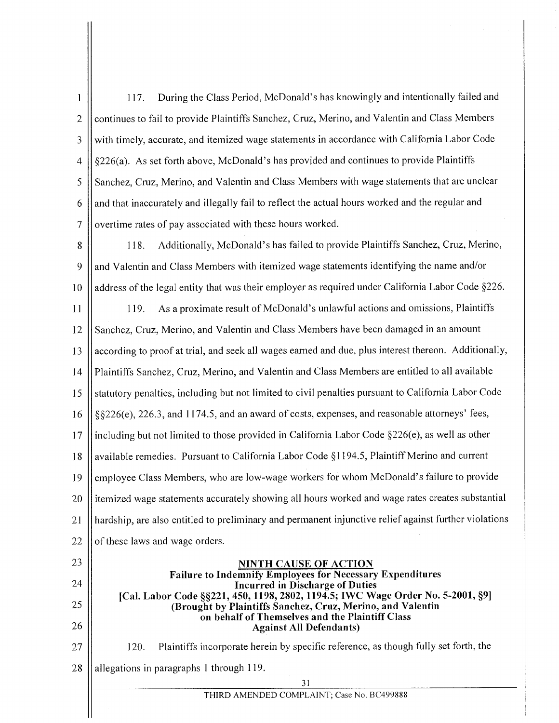117. During the Class Period, McDonald's has knowingly and intentionally failed and  $\mathbf{1}$ 2 || continues to fail to provide Plaintiffs Sanchez, Cruz, Merino, and Valentin and Class Members 3 || with timely, accurate, and itemized wage statements in accordance with California Labor Code  $4 \mid \nvert$  §226(a). As set forth above, McDonald's has provided and continues to provide Plaintiffs 5 S Sanchez, Cruz, Merino, and Valentin and Class Members with wage statements that are unclear  $6$  || and that inaccurately and illegally fail to reflect the actual hours worked and the regular and 7 | overtime rates of pay associated with these hours worked.

8 | 118. Additionally, McDonald's has failed to provide Plaintiffs Sanchez, Cruz, Merino,  $9 \parallel$  and Valentin and Class Members with itemized wage statements identifying the name and/or 10 | address of the legal entity that was their employer as required under California Labor Code §226.

II 12 13 14 15 16 17 18 19 20 21 22 119. As a proximate result of McDonald's unlawful actions and omissions, Plaintiffs Sanchez, Cruz, Merino, and Valentin and Class Members have been damaged in an amount according to proof at trial, and seek all wages earned and due, plus interest thereon. Additionally, Plaintiffs Sanchez, Cruz, Merino, and Valentin and Class Members are entitled to all available statutory penalties, including but not limited to civil penalties pursuant to California Labor Code §§226(e), 226.3, and 1174.5, and an award of costs, expenses, and reasonable attorneys' fees, including but not limited to those provided in California Labor Code  $\S226(e)$ , as well as other available remedies. Pursuant to California Labor Code § 1194.5, Plaintiff Merino and current employee Class Members, who are low-wage workers for whom McDonald's failure to provide itemized wage statements accurately showing all hours worked and wage rates creates substantial hardship, are also entitled to preliminary and permanent injunctive relief against further violations of these laws and wage orders.

## NINTH CAUSE OF ACTION Failure to Indemnify Employees for Necessary Expenditures Incurred in Discharge of Duties [Cal. Labor Code §§221, 450, 1198, 2802, 1194.5; IWC Wage Order No. 5-2001, §9] (Brought by Plaintiffs Sanchez, Cruz, Merino, and Valentin on behalf of Themselves and the Plaintiff Class Against All Defendants)

120. Plaintiffs incorporate herein by specific reference, as though fully set forth, the

28  $\parallel$  allegations in paragraphs 1 through 119.

23

24

25

26

27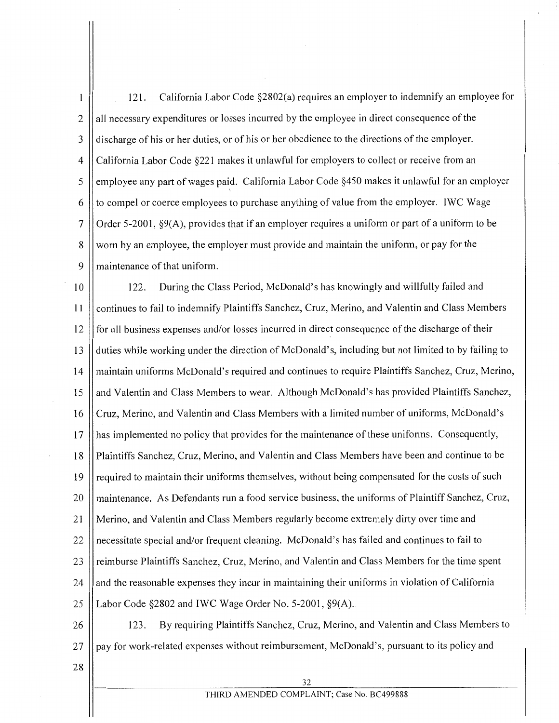121. California Labor Code §2802(a) requires an employer to indemnify an employee for  $\mathbf{1}$  $2 \parallel$  all necessary expenditures or losses incurred by the employee in direct consequence of the 3 discharge of his or her duties, or of his or her obedience to the directions of the employer. 4 || California Labor Code §221 makes it unlawful for employers to collect or receive from an 5 | employee any part of wages paid. California Labor Code §450 makes it unlawful for an employer  $6 \parallel$  to compel or coerce employees to purchase anything of value from the employer. IWC Wage 7 || Order 5-2001,  $\S9(A)$ , provides that if an employer requires a uniform or part of a uniform to be 8 || worn by an employee, the employer must provide and maintain the uniform, or pay for the 9 Il maintenance of that uniform.

10 122. During the Class Period, McDonald's has knowingly and willfully failed and 11 continues to fail to indemnify Plaintiffs Sanchez, Cruz, Merino, and Valentin and Class Members 12 || for all business expenses and/or losses incurred in direct consequence of the discharge of their 13 duties while working under the direction of McDonald's, including but not limited to by failing to 14 maintain uniforms McDonald's required and continues to require Plaintiffs Sanchez, Cruz, Merino, 15 || and Valentin and Class Members to wear. Although McDonald's has provided Plaintiffs Sanchez, 16 | Cruz, Merino, and Valentin and Class Members with a limited number of uniforms, McDonald's 17 || has implemented no policy that provides for the maintenance of these uniforms. Consequently, 18 | Plaintiffs Sanchez, Cruz, Merino, and Valentin and Class Members have been and continue to be 19 || required to maintain their uniforms themselves, without being compensated for the costs of such 20 || maintenance. As Defendants run a food service business, the uniforms of Plaintiff Sanchez, Cruz, 21 Merino, and Valentin and Class Members regularly become extremely dirty over time and 22 || necessitate special and/or frequent cleaning. McDonald's has failed and continues to fail to 23 || reimburse Plaintiffs Sanchez, Cruz, Merino, and Valentin and Class Members for the time spent  $24$  || and the reasonable expenses they incur in maintaining their uniforms in violation of California 25 Labor Code §2802 and IWC Wage Order No. 5-2001, §9(A).

26 | 123. By requiring Plaintiffs Sanchez, Cruz, Merino, and Valentin and Class Members to  $27$  pay for work-related expenses without reimbursement, McDonald's, pursuant to its policy and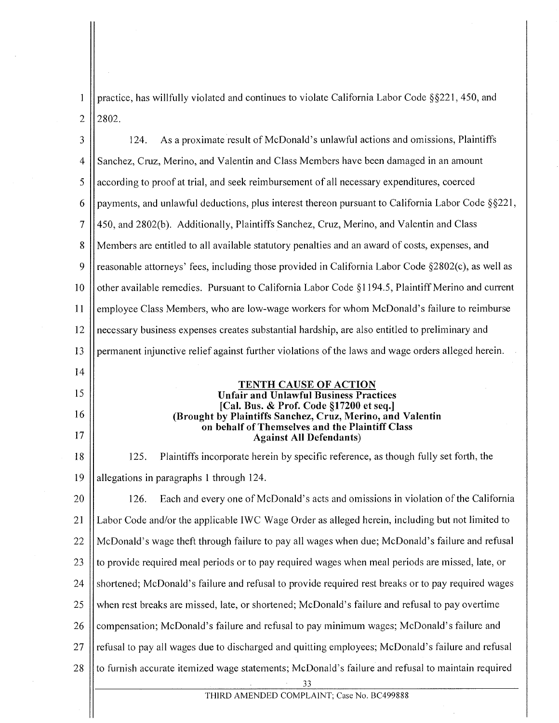practice, has willfully violated and continues to violate California Labor Code §§221, 450, and  $\left| \right|$  $2$  2802.

| 3              | As a proximate result of McDonald's unlawful actions and omissions, Plaintiffs<br>124.                |
|----------------|-------------------------------------------------------------------------------------------------------|
| $\overline{4}$ | Sanchez, Cruz, Merino, and Valentin and Class Members have been damaged in an amount                  |
| 5              | according to proof at trial, and seek reimbursement of all necessary expenditures, coerced            |
| 6              | payments, and unlawful deductions, plus interest thereon pursuant to California Labor Code §§221,     |
| 7              | 450, and 2802(b). Additionally, Plaintiffs Sanchez, Cruz, Merino, and Valentin and Class              |
| 8              | Members are entitled to all available statutory penalties and an award of costs, expenses, and        |
| 9              | reasonable attorneys' fees, including those provided in California Labor Code §2802(c), as well as    |
| 10             | other available remedies. Pursuant to California Labor Code $\S1194.5$ , Plaintiff Merino and current |
| 11             | employee Class Members, who are low-wage workers for whom McDonald's failure to reimburse             |
| 12             | necessary business expenses creates substantial hardship, are also entitled to preliminary and        |
| 13             | permanent injunctive relief against further violations of the laws and wage orders alleged herein.    |
| 14             |                                                                                                       |
| 15             | <b>TENTH CAUSE OF ACTION</b><br><b>Unfair and Unlawful Business Practices</b>                         |
| 16             | [Cal. Bus. & Prof. Code §17200 et seq.]<br>(Brought by Plaintiffs Sanchez, Cruz, Merino, and Valentin |
| 17             | on behalf of Themselves and the Plaintiff Class<br><b>Against All Defendants)</b>                     |
| 18             | Plaintiffs incorporate herein by specific reference, as though fully set forth, the<br>125.           |
| 19             | allegations in paragraphs 1 through 124.                                                              |
| 20             | Each and every one of McDonald's acts and omissions in violation of the California<br>126.            |
| 21             | Labor Code and/or the applicable IWC Wage Order as alleged herein, including but not limited to       |
| 22             | McDonald's wage theft through failure to pay all wages when due; McDonald's failure and refusal       |
| 23             | to provide required meal periods or to pay required wages when meal periods are missed, late, or      |
| 24             | shortened; McDonald's failure and refusal to provide required rest breaks or to pay required wages    |
| 25             | when rest breaks are missed, late, or shortened; McDonald's failure and refusal to pay overtime       |
| 26             | compensation; McDonald's failure and refusal to pay minimum wages; McDonald's failure and             |
| 27             | refusal to pay all wages due to discharged and quitting employees; McDonald's failure and refusal     |
| 28             | to furnish accurate itemized wage statements; McDonald's failure and refusal to maintain required     |
|                | 33<br>THIRD AMENDED COMPLAINT: Case No. BC499888                                                      |

THIRD AMENDED COMPLAINT; Case No. BC499888

 $\mathop{||}$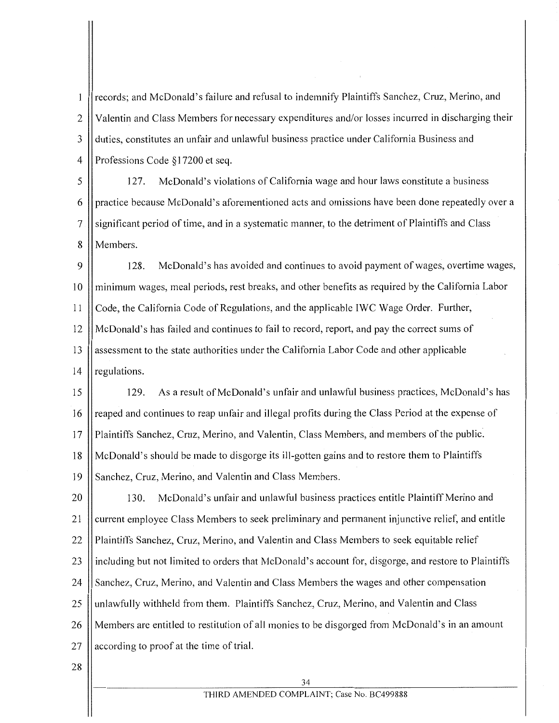records; and McDonald's failure and refusal to indemnify Plaintiffs Sanchez, Cruz, Merino, and  $\mathbf{1}$ 2 || Valentin and Class Members for necessary expenditures and/or losses incurred in discharging their 3 duties, constitutes an unfair and unlawful business practice under California Business and 4 || Professions Code §17200 et seq.

5 127. McDonald's violations of California wage and hour laws constitute a business 6 practice because McDonald's aforementioned acts and omissions have been done repeatedly over a 7 || significant period of time, and in a systematic manner, to the detriment of Plaintiffs and Class 8 Members.

9 128. McDonald's has avoided and continues to avoid payment of wages, overtime wages, 10 minimum wages, meal periods, rest breaks, and other benefits as required by the California Labor 11 Code, the California Code of Regulations, and the applicable IWC Wage Order. Further, 12 || McDonald's has failed and continues to fail to record, report, and pay the correct sums of 13 assessment to the state authorities under the California Labor Code and other applicable 14  $\parallel$  regulations.

15 129. As a result of McDonald's unfair and unlawful business practices, McDonald's has 16 || reaped and continues to reap unfair and illegal profits during the Class Period at the expense of 17 Plaintiffs Sanchez, Cruz, Merino, and Valentin, Class Members, and members of the public. 18 McDonald's should be made to disgorge its ill-gotten gains and to restore them to Plaintiffs 19 Sanchez, Cruz, Merino, and Valentin and Class Members.

20 | 130. McDonald's unfair and unlawful business practices entitle Plaintiff Merino and 21 | current employee Class Members to seek preliminary and permanent injunctive relief, and entitle 22 || Plaintiffs Sanchez, Cruz, Merino, and Valentin and Class Members to seek equitable relief 23 || including but not limited to orders that McDonald's account for, disgorge, and restore to Plaintiffs 24 Sanchez, Cruz, Merino, and Valentin and Class Members the wages and other compensation  $25$  unlawfully withheld from them. Plaintiffs Sanchez, Cruz, Merino, and Valentin and Class 26 Members are entitled to restitution of all monies to be disgorged from McDonald's in an amount 27  $\parallel$  according to proof at the time of trial.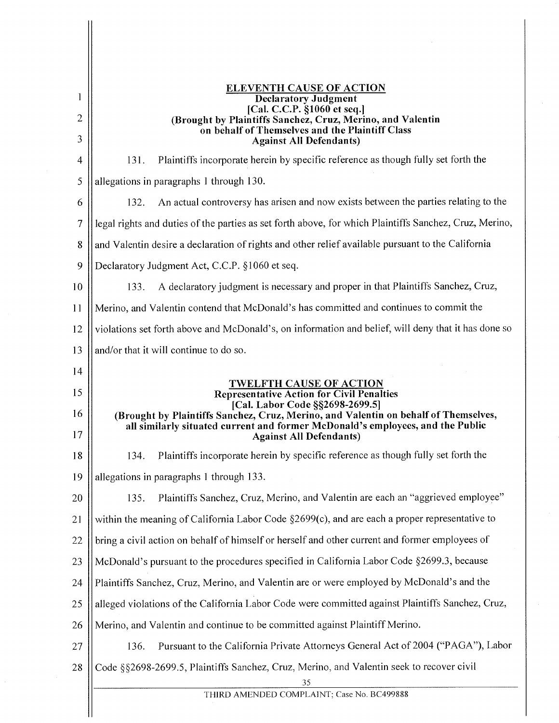| <b>ELEVENTH CAUSE OF ACTION</b><br><b>Declaratory Judgment</b><br>[Cal. C.C.P. §1060 et seq.]<br>(Brought by Plaintiffs Sanchez, Cruz, Merino, and Valentin<br>on behalf of Themselves and the Plaintiff Class<br><b>Against All Defendants)</b>                                                                                 |
|----------------------------------------------------------------------------------------------------------------------------------------------------------------------------------------------------------------------------------------------------------------------------------------------------------------------------------|
| Plaintiffs incorporate herein by specific reference as though fully set forth the<br>131.                                                                                                                                                                                                                                        |
| allegations in paragraphs 1 through 130.                                                                                                                                                                                                                                                                                         |
| An actual controversy has arisen and now exists between the parties relating to the<br>132.                                                                                                                                                                                                                                      |
| legal rights and duties of the parties as set forth above, for which Plaintiffs Sanchez, Cruz, Merino,                                                                                                                                                                                                                           |
| and Valentin desire a declaration of rights and other relief available pursuant to the California                                                                                                                                                                                                                                |
| Declaratory Judgment Act, C.C.P. §1060 et seq.                                                                                                                                                                                                                                                                                   |
| A declaratory judgment is necessary and proper in that Plaintiffs Sanchez, Cruz,<br>133.                                                                                                                                                                                                                                         |
| Merino, and Valentin contend that McDonald's has committed and continues to commit the                                                                                                                                                                                                                                           |
| violations set forth above and McDonald's, on information and belief, will deny that it has done so                                                                                                                                                                                                                              |
| and/or that it will continue to do so.                                                                                                                                                                                                                                                                                           |
|                                                                                                                                                                                                                                                                                                                                  |
| <b>TWELFTH CAUSE OF ACTION</b><br><b>Representative Action for Civil Penalties</b><br>[Cal. Labor Code §§2698-2699.5]<br>(Brought by Plaintiffs Sanchez, Cruz, Merino, and Valentin on behalf of Themselves,<br>all similarly situated current and former McDonald's employees, and the Public<br><b>Against All Defendants)</b> |
| Plaintiffs incorporate herein by specific reference as though fully set forth the<br>134.                                                                                                                                                                                                                                        |
| allegations in paragraphs 1 through 133.                                                                                                                                                                                                                                                                                         |
| Plaintiffs Sanchez, Cruz, Merino, and Valentin are each an "aggrieved employee"<br>135.                                                                                                                                                                                                                                          |
| within the meaning of California Labor Code §2699(c), and are each a proper representative to                                                                                                                                                                                                                                    |
| bring a civil action on behalf of himself or herself and other current and former employees of                                                                                                                                                                                                                                   |
| McDonald's pursuant to the procedures specified in California Labor Code §2699.3, because                                                                                                                                                                                                                                        |
| Plaintiffs Sanchez, Cruz, Merino, and Valentin are or were employed by McDonald's and the                                                                                                                                                                                                                                        |
| alleged violations of the California Labor Code were committed against Plaintiffs Sanchez, Cruz,                                                                                                                                                                                                                                 |
| Merino, and Valentin and continue to be committed against Plaintiff Merino.                                                                                                                                                                                                                                                      |
| Pursuant to the California Private Attorneys General Act of 2004 ("PAGA"), Labor<br>136.                                                                                                                                                                                                                                         |
| Code §§2698-2699.5, Plaintiffs Sanchez, Cruz, Merino, and Valentin seek to recover civil<br>35                                                                                                                                                                                                                                   |
| THIRD AMENDED COMPLAINT; Case No. BC499888                                                                                                                                                                                                                                                                                       |
|                                                                                                                                                                                                                                                                                                                                  |

 $\hat{\mathcal{A}}$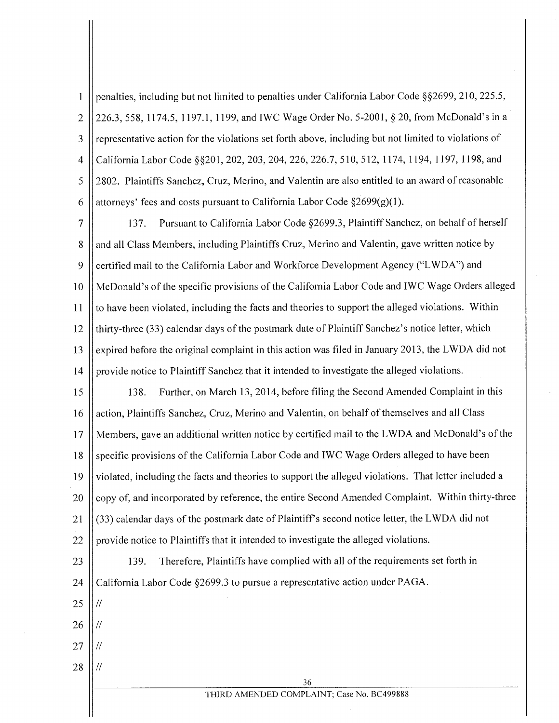penalties, including but not limited to penalties under California Labor Code §§2699, 210, 225.5,  $\mathbf{1}$ 2 | 226.3, 558, 1174.5, 1197.1, 1199, and IWC Wage Order No. 5-2001, § 20, from McDonald's in a  $3 \parallel$  representative action for the violations set forth above, including but not limited to violations of 4 || California Labor Code §§201, 202, 203, 204, 226, 226.7, 510, 512, 1174, 1194, 1197, 1198, and 5 2802. Plaintiffs Sanchez, Cruz, Merino, and Valentin are also entitled to an award of reasonable 6 Attorneys' fees and costs pursuant to California Labor Code  $\S2699(g)(1)$ .

7 137. Pursuant to California Labor Code §2699.3, Plaintiff Sanchez, on behalf of herself 8 and all Class Members, including Plaintiffs Cruz, Merino and Valentin, gave written notice by 9 Certified mail to the California Labor and Workforce Development Agency ("LWDA") and 10 || McDonald's of the specific provisions of the California Labor Code and IWC Wage Orders alleged 11 | to have been violated, including the facts and theories to support the alleged violations. Within 12  $\parallel$  thirty-three (33) calendar days of the postmark date of Plaintiff Sanchez's notice letter, which 13  $\parallel$  expired before the original complaint in this action was filed in January 2013, the LWDA did not 14 | provide notice to Plaintiff Sanchez that it intended to investigate the alleged violations.

15 | 138. Further, on March 13, 2014, before filing the Second Amended Complaint in this 16 action, Plaintiffs Sanchez, Cruz, Merino and Valentin, on behalf of themselves and all Class 17 Members, gave an additional written notice by certified mail to the LWDA and McDonald's of the 18 | specific provisions of the California Labor Code and IWC Wage Orders alleged to have been 19 || violated, including the facts and theories to support the alleged violations. That letter included a 20 Copy of, and incorporated by reference, the entire Second Amended Complaint. Within thirty-three 21  $\left| \frac{\partial 3}{\partial 3} \right|$  calendar days of the postmark date of Plaintiff's second notice letter, the LWDA did not 22 provide notice to Plaintiffs that it intended to investigate the alleged violations.

23 | 139. Therefore, Plaintiffs have complied with all of the requirements set forth in

24 | California Labor Code §2699.3 to pursue a representative action under PAGA.

- $25$   $\frac{1}{11}$
- $26$  II*II*
- $27$  II  $\prime\prime$
- $28$  || //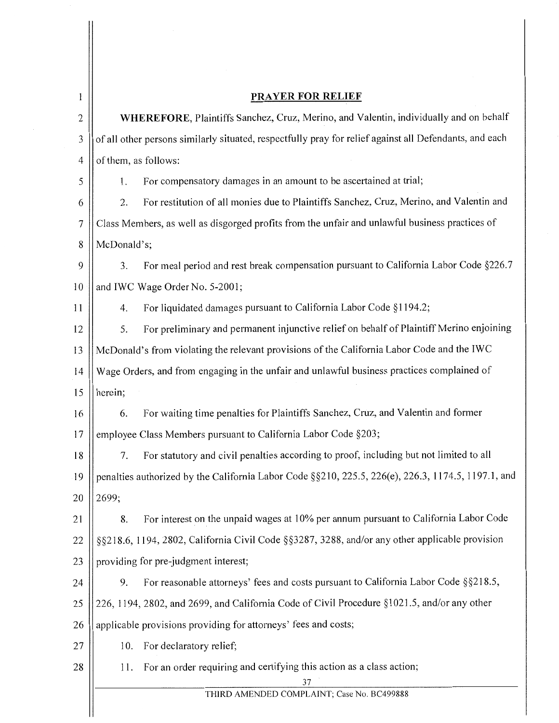| ł              |                                                                                                    | <b>PRAYER FOR RELIEF</b>                                                                               |
|----------------|----------------------------------------------------------------------------------------------------|--------------------------------------------------------------------------------------------------------|
| $\overline{c}$ | WHEREFORE, Plaintiffs Sanchez, Cruz, Merino, and Valentin, individually and on behalf              |                                                                                                        |
| 3              |                                                                                                    | of all other persons similarly situated, respectfully pray for relief against all Defendants, and each |
| 4              | of them, as follows:                                                                               |                                                                                                        |
| 5              | 1.                                                                                                 | For compensatory damages in an amount to be ascertained at trial;                                      |
| 6              | 2.                                                                                                 | For restitution of all monies due to Plaintiffs Sanchez, Cruz, Merino, and Valentin and                |
| $\tau$         | Class Members, as well as disgorged profits from the unfair and unlawful business practices of     |                                                                                                        |
| 8              | McDonald's;                                                                                        |                                                                                                        |
| 9              | 3.                                                                                                 | For meal period and rest break compensation pursuant to California Labor Code §226.7                   |
| 10             |                                                                                                    | and IWC Wage Order No. 5-2001;                                                                         |
| 11             | 4.                                                                                                 | For liquidated damages pursuant to California Labor Code §1194.2;                                      |
| 12             | 5.                                                                                                 | For preliminary and permanent injunctive relief on behalf of Plaintiff Merino enjoining                |
| 13             | McDonald's from violating the relevant provisions of the California Labor Code and the IWC         |                                                                                                        |
| 14             | Wage Orders, and from engaging in the unfair and unlawful business practices complained of         |                                                                                                        |
| 15             | herein;                                                                                            |                                                                                                        |
| 16             | 6.                                                                                                 | For waiting time penalties for Plaintiffs Sanchez, Cruz, and Valentin and former                       |
| 17             |                                                                                                    | employee Class Members pursuant to California Labor Code §203;                                         |
| 18             | 7.                                                                                                 | For statutory and civil penalties according to proof, including but not limited to all                 |
| 19             | penalties authorized by the California Labor Code §§210, 225.5, 226(e), 226.3, 1174.5, 1197.1, and |                                                                                                        |
| 20             | 2699;                                                                                              |                                                                                                        |
| 21             | 8.                                                                                                 | For interest on the unpaid wages at 10% per annum pursuant to California Labor Code                    |
| 22             |                                                                                                    | §§218.6, 1194, 2802, California Civil Code §§3287, 3288, and/or any other applicable provision         |
| 23             |                                                                                                    | providing for pre-judgment interest;                                                                   |
| 24             | 9.                                                                                                 | For reasonable attorneys' fees and costs pursuant to California Labor Code §§218.5,                    |
| 25             |                                                                                                    | 226, 1194, 2802, and 2699, and California Code of Civil Procedure §1021.5, and/or any other            |
| 26             |                                                                                                    | applicable provisions providing for attorneys' fees and costs;                                         |
| 27             | 10.                                                                                                | For declaratory relief;                                                                                |
| 28             | 11.                                                                                                | For an order requiring and certifying this action as a class action;                                   |
|                |                                                                                                    | 37<br>THIRD AMENDED COMPLAINT; Case No. BC499888                                                       |
|                |                                                                                                    |                                                                                                        |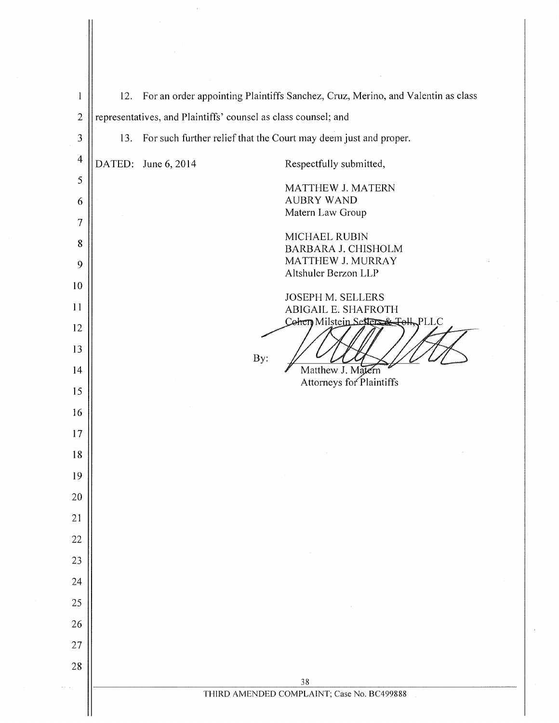| $\mathbf{l}$   | 12.                                                            | For an order appointing Plaintiffs Sanchez, Cruz, Merino, and Valentin as class |
|----------------|----------------------------------------------------------------|---------------------------------------------------------------------------------|
| $\overline{c}$ | representatives, and Plaintiffs' counsel as class counsel; and |                                                                                 |
| 3              | 13.                                                            | For such further relief that the Court may deem just and proper.                |
| $\overline{4}$ |                                                                | DATED: June 6, 2014<br>Respectfully submitted,                                  |
| 5              |                                                                | MATTHEW J. MATERN                                                               |
| 6              |                                                                | <b>AUBRY WAND</b><br>Matern Law Group                                           |
|                |                                                                | MICHAEL RUBIN                                                                   |
| 8              |                                                                | BARBARA J. CHISHOLM                                                             |
| 9              |                                                                | MATTHEW J. MURRAY<br>Altshuler Berzon LLP                                       |
| 10             |                                                                | JOSEPH M. SELLERS                                                               |
| 11             |                                                                | <b>ABIGAIL E. SHAFROTH</b><br>Cohen Milstein Setters & Toll, PLLC               |
| 12<br>13       |                                                                |                                                                                 |
| 14             |                                                                | By:<br>Matthew J. Matern                                                        |
| 15             |                                                                | Attorneys for Plaintiffs                                                        |
| 16             |                                                                |                                                                                 |
| 17             |                                                                |                                                                                 |
| 18             |                                                                |                                                                                 |
| 19             |                                                                |                                                                                 |
| 20             |                                                                |                                                                                 |
| 21             |                                                                |                                                                                 |
| 22             |                                                                |                                                                                 |
| 23             |                                                                |                                                                                 |
| 24             |                                                                |                                                                                 |
| 25             |                                                                |                                                                                 |
| 26             |                                                                |                                                                                 |
| 27             |                                                                |                                                                                 |
| 28             |                                                                | 38                                                                              |
|                |                                                                | THIRD AMENDED COMPLAINT; Case No. BC499888                                      |
|                |                                                                |                                                                                 |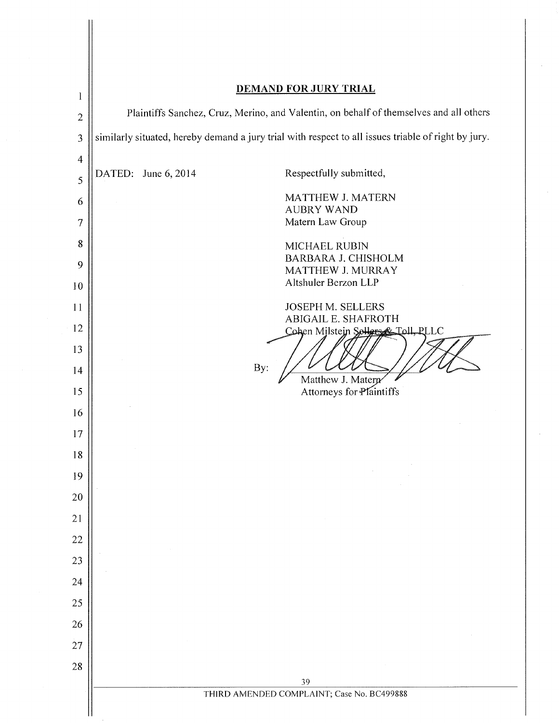| <b>DEMAND FOR JURY TRIAL</b>                                                                        |
|-----------------------------------------------------------------------------------------------------|
| Plaintiffs Sanchez, Cruz, Merino, and Valentin, on behalf of themselves and all others              |
| similarly situated, hereby demand a jury trial with respect to all issues triable of right by jury. |
|                                                                                                     |
| Respectfully submitted,<br>DATED: June 6, 2014                                                      |
| MATTHEW J. MATERN<br><b>AUBRY WAND</b>                                                              |
| Matern Law Group                                                                                    |
| MICHAEL RUBIN                                                                                       |
| <b>BARBARA J. CHISHOLM</b><br>MATTHEW J. MURRAY                                                     |
| Altshuler Berzon LLP                                                                                |
| <b>JOSEPH M. SELLERS</b><br>ABIGAIL E. SHAFROTH                                                     |
| Cohen Milstein Sollers & Toll, PLLC                                                                 |
| By:                                                                                                 |
| Matthew J. Matern<br>Attorneys for Plaintiffs                                                       |
|                                                                                                     |
|                                                                                                     |
|                                                                                                     |
|                                                                                                     |
|                                                                                                     |
|                                                                                                     |
|                                                                                                     |
|                                                                                                     |
|                                                                                                     |
|                                                                                                     |
|                                                                                                     |
|                                                                                                     |
| 39                                                                                                  |
| THIRD AMENDED COMPLAINT; Case No. BC499888                                                          |
|                                                                                                     |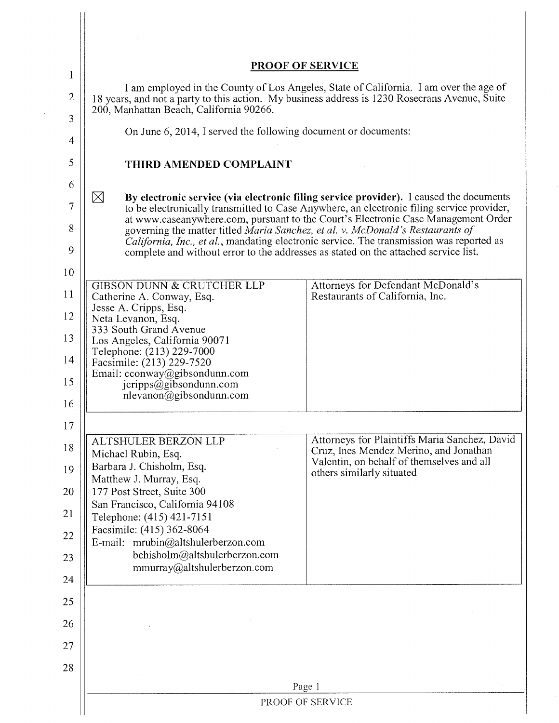|                |                                                                                                                                                                                                                                   | PROOF OF SERVICE                                                                                                                                                                                                                                                |
|----------------|-----------------------------------------------------------------------------------------------------------------------------------------------------------------------------------------------------------------------------------|-----------------------------------------------------------------------------------------------------------------------------------------------------------------------------------------------------------------------------------------------------------------|
| 1              |                                                                                                                                                                                                                                   |                                                                                                                                                                                                                                                                 |
| 2              | I am employed in the County of Los Angeles, State of California. I am over the age of<br>18 years, and not a party to this action. My business address is 1230 Rosecrans Avenue, Suite<br>200, Manhattan Beach, California 90266. |                                                                                                                                                                                                                                                                 |
| 3<br>4         | On June 6, 2014, I served the following document or documents:                                                                                                                                                                    |                                                                                                                                                                                                                                                                 |
| 5              | THIRD AMENDED COMPLAINT                                                                                                                                                                                                           |                                                                                                                                                                                                                                                                 |
| 6              |                                                                                                                                                                                                                                   |                                                                                                                                                                                                                                                                 |
| $\overline{7}$ | $\boxtimes$                                                                                                                                                                                                                       | By electronic service (via electronic filing service provider). I caused the documents<br>to be electronically transmitted to Case Anywhere, an electronic filing service provider,                                                                             |
| 8              |                                                                                                                                                                                                                                   | at www.caseanywhere.com, pursuant to the Court's Electronic Case Management Order<br>governing the matter titled Maria Sanchez, et al. v. McDonald's Restaurants of<br>California, Inc., et al., mandating electronic service. The transmission was reported as |
| 9              |                                                                                                                                                                                                                                   | complete and without error to the addresses as stated on the attached service list.                                                                                                                                                                             |
| 10             |                                                                                                                                                                                                                                   |                                                                                                                                                                                                                                                                 |
| 11             | <b>GIBSON DUNN &amp; CRUTCHER LLP</b><br>Catherine A. Conway, Esq.<br>Jesse A. Cripps, Esq.                                                                                                                                       | Attorneys for Defendant McDonald's<br>Restaurants of California, Inc.                                                                                                                                                                                           |
| 12             | Neta Levanon, Esq.<br>333 South Grand Avenue                                                                                                                                                                                      |                                                                                                                                                                                                                                                                 |
| 13<br>14       | Los Angeles, California 90071<br>Telephone: (213) 229-7000<br>Facsimile: (213) 229-7520                                                                                                                                           |                                                                                                                                                                                                                                                                 |
| 15             | Email: cconway@gibsondunn.com<br>jcripps@gibsondunn.com<br>nlevanon@gibsondunn.com                                                                                                                                                |                                                                                                                                                                                                                                                                 |
| 16             |                                                                                                                                                                                                                                   |                                                                                                                                                                                                                                                                 |
| 17             |                                                                                                                                                                                                                                   |                                                                                                                                                                                                                                                                 |
| 18             | ALTSHULER BERZON LLP<br>Michael Rubin, Esq.                                                                                                                                                                                       | Attorneys for Plaintiffs Maria Sanchez, David<br>Cruz, Ines Mendez Merino, and Jonathan                                                                                                                                                                         |
| 19             | Barbara J. Chisholm, Esq.<br>Matthew J. Murray, Esq.                                                                                                                                                                              | Valentin, on behalf of themselves and all<br>others similarly situated                                                                                                                                                                                          |
| 20             | 177 Post Street, Suite 300<br>San Francisco, California 94108                                                                                                                                                                     |                                                                                                                                                                                                                                                                 |
| 21             | Telephone: (415) 421-7151                                                                                                                                                                                                         |                                                                                                                                                                                                                                                                 |
| 22             | Facsimile: (415) 362-8064<br>E-mail: mrubin@altshulerberzon.com                                                                                                                                                                   |                                                                                                                                                                                                                                                                 |
| 23             | bchisholm@altshulerberzon.com<br>mmurray@altshulerberzon.com                                                                                                                                                                      |                                                                                                                                                                                                                                                                 |
| 24             |                                                                                                                                                                                                                                   |                                                                                                                                                                                                                                                                 |
| 25             |                                                                                                                                                                                                                                   |                                                                                                                                                                                                                                                                 |
| 26             |                                                                                                                                                                                                                                   |                                                                                                                                                                                                                                                                 |
| 27             |                                                                                                                                                                                                                                   |                                                                                                                                                                                                                                                                 |
| 28             |                                                                                                                                                                                                                                   |                                                                                                                                                                                                                                                                 |
|                |                                                                                                                                                                                                                                   | Page 1                                                                                                                                                                                                                                                          |